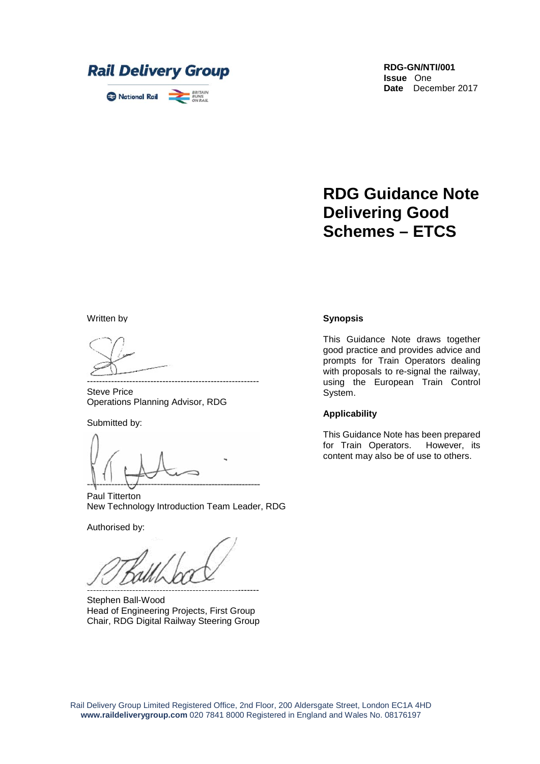

**RDG-GN/NTI/001 Issue** One **Date** December 2017

# **RDG Guidance Note Delivering Good Schemes – ETCS**

Written by

--------------------------------------------------------- Steve Price Operations Planning Advisor, RDG

Submitted by:

---------------------------------------------------------

Paul Titterton New Technology Introduction Team Leader, RDG

Authorised by:

---------------------------------------------------------

Stephen Ball-Wood Head of Engineering Projects, First Group Chair, RDG Digital Railway Steering Group

#### **Synopsis**

This Guidance Note draws together good practice and provides advice and prompts for Train Operators dealing with proposals to re-signal the railway, using the European Train Control System.

#### **Applicability**

This Guidance Note has been prepared for Train Operators. However, its content may also be of use to others.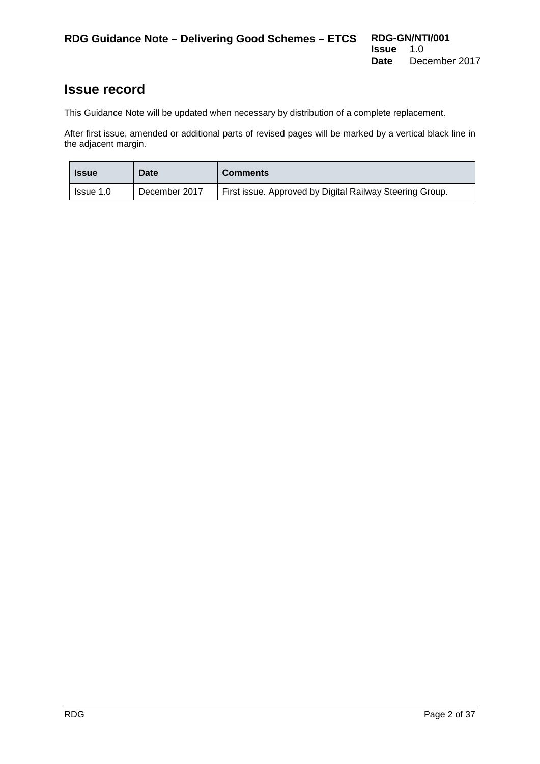### **Issue record**

This Guidance Note will be updated when necessary by distribution of a complete replacement.

After first issue, amended or additional parts of revised pages will be marked by a vertical black line in the adjacent margin.

| <b>Issue</b> | <b>Date</b>   | <b>Comments</b>                                          |
|--------------|---------------|----------------------------------------------------------|
| Issue 1.0    | December 2017 | First issue. Approved by Digital Railway Steering Group. |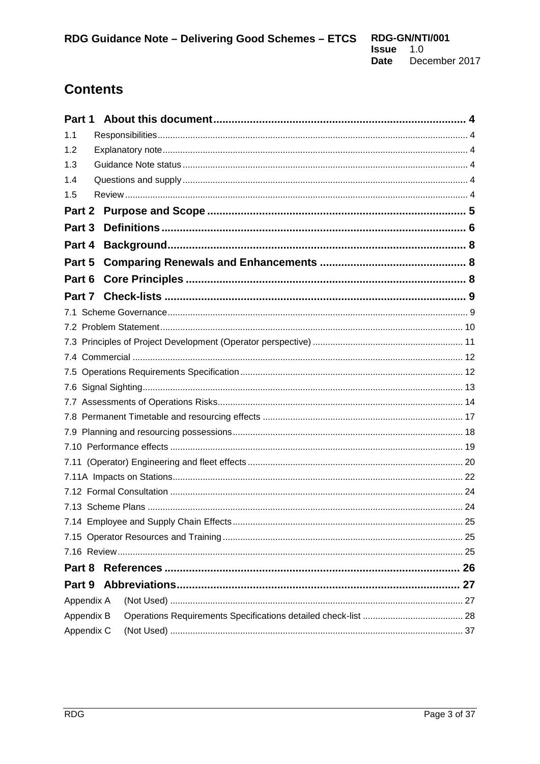# **Contents**

| Part 1 |            |  |  |  |
|--------|------------|--|--|--|
| 1.1    |            |  |  |  |
| 1.2    |            |  |  |  |
| 1.3    |            |  |  |  |
| 1.4    |            |  |  |  |
| 1.5    |            |  |  |  |
| Part 2 |            |  |  |  |
| Part 3 |            |  |  |  |
| Part 4 |            |  |  |  |
| Part 5 |            |  |  |  |
| Part 6 |            |  |  |  |
| Part 7 |            |  |  |  |
| 7.1    |            |  |  |  |
| 7.2    |            |  |  |  |
|        |            |  |  |  |
|        |            |  |  |  |
|        |            |  |  |  |
|        |            |  |  |  |
|        |            |  |  |  |
|        |            |  |  |  |
|        |            |  |  |  |
|        |            |  |  |  |
|        |            |  |  |  |
|        |            |  |  |  |
|        |            |  |  |  |
|        |            |  |  |  |
|        |            |  |  |  |
|        |            |  |  |  |
|        |            |  |  |  |
| Part 8 |            |  |  |  |
| Part 9 |            |  |  |  |
|        | Appendix A |  |  |  |
|        | Appendix B |  |  |  |
|        | Appendix C |  |  |  |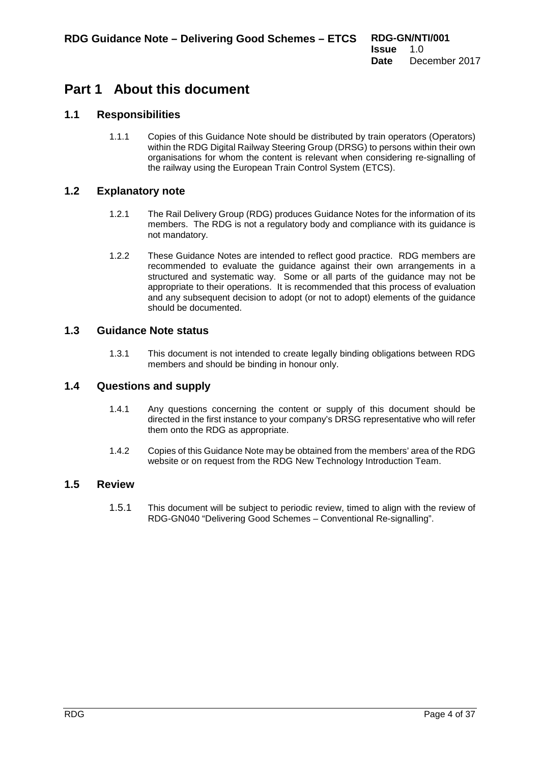### <span id="page-3-0"></span>**Part 1 About this document**

#### **1.1 Responsibilities**

<span id="page-3-1"></span>1.1.1 Copies of this Guidance Note should be distributed by train operators (Operators) within the RDG Digital Railway Steering Group (DRSG) to persons within their own organisations for whom the content is relevant when considering re-signalling of the railway using the European Train Control System (ETCS).

#### **1.2 Explanatory note**

- <span id="page-3-2"></span>1.2.1 The Rail Delivery Group (RDG) produces Guidance Notes for the information of its members. The RDG is not a regulatory body and compliance with its guidance is not mandatory.
- 1.2.2 These Guidance Notes are intended to reflect good practice. RDG members are recommended to evaluate the guidance against their own arrangements in a structured and systematic way. Some or all parts of the guidance may not be appropriate to their operations. It is recommended that this process of evaluation and any subsequent decision to adopt (or not to adopt) elements of the guidance should be documented.

#### **1.3 Guidance Note status**

<span id="page-3-3"></span>1.3.1 This document is not intended to create legally binding obligations between RDG members and should be binding in honour only.

#### **1.4 Questions and supply**

- <span id="page-3-4"></span>1.4.1 Any questions concerning the content or supply of this document should be directed in the first instance to your company's DRSG representative who will refer them onto the RDG as appropriate.
- 1.4.2 Copies of this Guidance Note may be obtained from the members' area of the RDG website or on request from the RDG New Technology Introduction Team.

#### **1.5 Review**

<span id="page-3-5"></span>1.5.1 This document will be subject to periodic review, timed to align with the review of RDG-GN040 "Delivering Good Schemes – Conventional Re-signalling".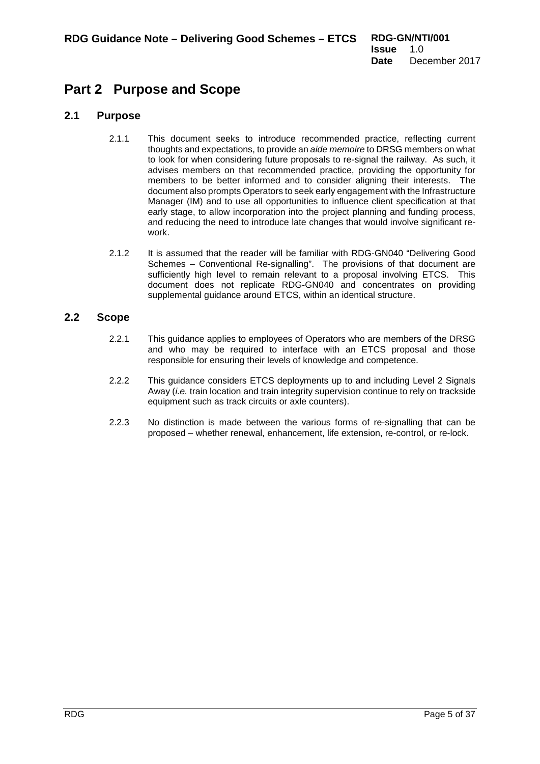## <span id="page-4-0"></span>**Part 2 Purpose and Scope**

#### **2.1 Purpose**

- 2.1.1 This document seeks to introduce recommended practice, reflecting current thoughts and expectations, to provide an *aide memoire* to DRSG members on what to look for when considering future proposals to re-signal the railway. As such, it advises members on that recommended practice, providing the opportunity for members to be better informed and to consider aligning their interests. The document also prompts Operators to seek early engagement with the Infrastructure Manager (IM) and to use all opportunities to influence client specification at that early stage, to allow incorporation into the project planning and funding process, and reducing the need to introduce late changes that would involve significant rework.
- 2.1.2 It is assumed that the reader will be familiar with RDG-GN040 "Delivering Good Schemes – Conventional Re-signalling". The provisions of that document are sufficiently high level to remain relevant to a proposal involving ETCS. This document does not replicate RDG-GN040 and concentrates on providing supplemental guidance around ETCS, within an identical structure.

#### **2.2 Scope**

- 2.2.1 This guidance applies to employees of Operators who are members of the DRSG and who may be required to interface with an ETCS proposal and those responsible for ensuring their levels of knowledge and competence.
- 2.2.2 This guidance considers ETCS deployments up to and including Level 2 Signals Away (*i.e.* train location and train integrity supervision continue to rely on trackside equipment such as [track circuits](https://en.wikipedia.org/wiki/Track_circuit) or [axle counters\)](https://en.wikipedia.org/wiki/Axle_counter).
- 2.2.3 No distinction is made between the various forms of re-signalling that can be proposed – whether renewal, enhancement, life extension, re-control, or re-lock.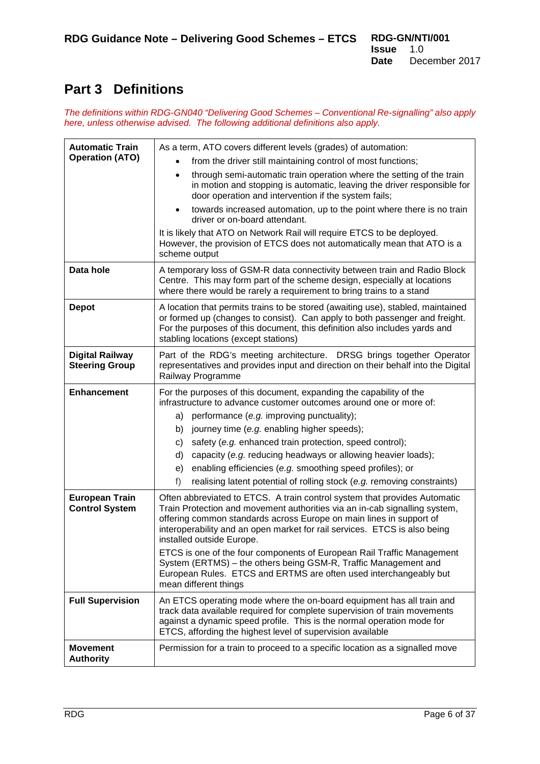## <span id="page-5-0"></span>**Part 3 Definitions**

*The definitions within RDG-GN040 "Delivering Good Schemes – Conventional Re-signalling" also apply here, unless otherwise advised. The following additional definitions also apply.*

| <b>Automatic Train</b>                          | As a term, ATO covers different levels (grades) of automation:                                                                                                                                                                                                                                                                                                                                                                                                                                                                                                                      |  |  |
|-------------------------------------------------|-------------------------------------------------------------------------------------------------------------------------------------------------------------------------------------------------------------------------------------------------------------------------------------------------------------------------------------------------------------------------------------------------------------------------------------------------------------------------------------------------------------------------------------------------------------------------------------|--|--|
| <b>Operation (ATO)</b>                          | from the driver still maintaining control of most functions;                                                                                                                                                                                                                                                                                                                                                                                                                                                                                                                        |  |  |
|                                                 | through semi-automatic train operation where the setting of the train<br>$\bullet$<br>in motion and stopping is automatic, leaving the driver responsible for<br>door operation and intervention if the system fails;                                                                                                                                                                                                                                                                                                                                                               |  |  |
|                                                 | towards increased automation, up to the point where there is no train<br>driver or on-board attendant.                                                                                                                                                                                                                                                                                                                                                                                                                                                                              |  |  |
|                                                 | It is likely that ATO on Network Rail will require ETCS to be deployed.<br>However, the provision of ETCS does not automatically mean that ATO is a<br>scheme output                                                                                                                                                                                                                                                                                                                                                                                                                |  |  |
| Data hole                                       | A temporary loss of GSM-R data connectivity between train and Radio Block<br>Centre. This may form part of the scheme design, especially at locations<br>where there would be rarely a requirement to bring trains to a stand                                                                                                                                                                                                                                                                                                                                                       |  |  |
| <b>Depot</b>                                    | A location that permits trains to be stored (awaiting use), stabled, maintained<br>or formed up (changes to consist). Can apply to both passenger and freight.<br>For the purposes of this document, this definition also includes yards and<br>stabling locations (except stations)                                                                                                                                                                                                                                                                                                |  |  |
| <b>Digital Railway</b><br><b>Steering Group</b> | Part of the RDG's meeting architecture. DRSG brings together Operator<br>representatives and provides input and direction on their behalf into the Digital<br>Railway Programme                                                                                                                                                                                                                                                                                                                                                                                                     |  |  |
| <b>Enhancement</b>                              | For the purposes of this document, expanding the capability of the<br>infrastructure to advance customer outcomes around one or more of:<br>a) performance (e.g. improving punctuality);<br>journey time (e.g. enabling higher speeds);<br>b)<br>safety (e.g. enhanced train protection, speed control);<br>c)<br>capacity (e.g. reducing headways or allowing heavier loads);<br>d)<br>enabling efficiencies (e.g. smoothing speed profiles); or<br>e)<br>f)<br>realising latent potential of rolling stock (e.g. removing constraints)                                            |  |  |
| <b>European Train</b><br><b>Control System</b>  | Often abbreviated to ETCS. A train control system that provides Automatic<br>Train Protection and movement authorities via an in-cab signalling system,<br>offering common standards across Europe on main lines in support of<br>interoperability and an open market for rail services. ETCS is also being<br>installed outside Europe.<br>ETCS is one of the four components of European Rail Traffic Management<br>System (ERTMS) - the others being GSM-R, Traffic Management and<br>European Rules. ETCS and ERTMS are often used interchangeably but<br>mean different things |  |  |
| <b>Full Supervision</b>                         | An ETCS operating mode where the on-board equipment has all train and<br>track data available required for complete supervision of train movements<br>against a dynamic speed profile. This is the normal operation mode for<br>ETCS, affording the highest level of supervision available                                                                                                                                                                                                                                                                                          |  |  |
| <b>Movement</b><br><b>Authority</b>             | Permission for a train to proceed to a specific location as a signalled move                                                                                                                                                                                                                                                                                                                                                                                                                                                                                                        |  |  |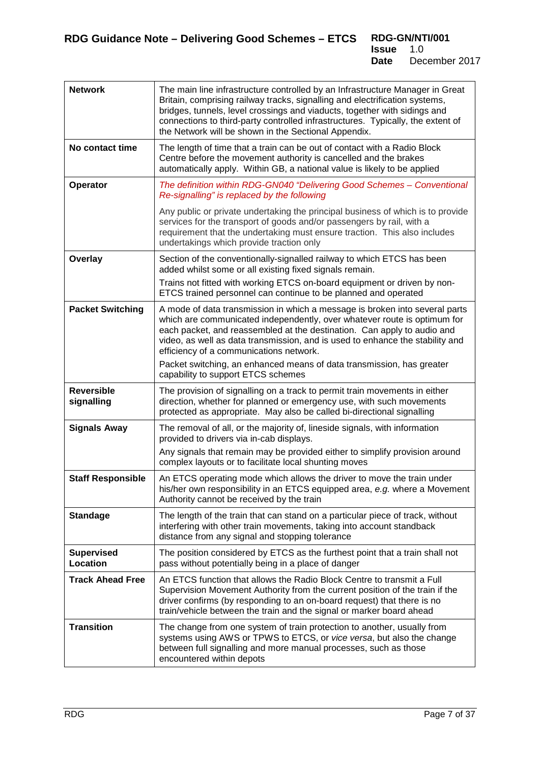| <b>Network</b>                       | The main line infrastructure controlled by an Infrastructure Manager in Great<br>Britain, comprising railway tracks, signalling and electrification systems,<br>bridges, tunnels, level crossings and viaducts, together with sidings and<br>connections to third-party controlled infrastructures. Typically, the extent of<br>the Network will be shown in the Sectional Appendix. |
|--------------------------------------|--------------------------------------------------------------------------------------------------------------------------------------------------------------------------------------------------------------------------------------------------------------------------------------------------------------------------------------------------------------------------------------|
| No contact time                      | The length of time that a train can be out of contact with a Radio Block<br>Centre before the movement authority is cancelled and the brakes<br>automatically apply. Within GB, a national value is likely to be applied                                                                                                                                                             |
| Operator                             | The definition within RDG-GN040 "Delivering Good Schemes - Conventional<br>Re-signalling" is replaced by the following                                                                                                                                                                                                                                                               |
|                                      | Any public or private undertaking the principal business of which is to provide<br>services for the transport of goods and/or passengers by rail, with a<br>requirement that the undertaking must ensure traction. This also includes<br>undertakings which provide traction only                                                                                                    |
| Overlay                              | Section of the conventionally-signalled railway to which ETCS has been<br>added whilst some or all existing fixed signals remain.                                                                                                                                                                                                                                                    |
|                                      | Trains not fitted with working ETCS on-board equipment or driven by non-<br>ETCS trained personnel can continue to be planned and operated                                                                                                                                                                                                                                           |
| <b>Packet Switching</b>              | A mode of data transmission in which a message is broken into several parts<br>which are communicated independently, over whatever route is optimum for<br>each packet, and reassembled at the destination. Can apply to audio and<br>video, as well as data transmission, and is used to enhance the stability and<br>efficiency of a communications network.                       |
|                                      | Packet switching, an enhanced means of data transmission, has greater<br>capability to support ETCS schemes                                                                                                                                                                                                                                                                          |
| <b>Reversible</b><br>signalling      | The provision of signalling on a track to permit train movements in either<br>direction, whether for planned or emergency use, with such movements<br>protected as appropriate. May also be called bi-directional signalling                                                                                                                                                         |
| <b>Signals Away</b>                  | The removal of all, or the majority of, lineside signals, with information<br>provided to drivers via in-cab displays.                                                                                                                                                                                                                                                               |
|                                      | Any signals that remain may be provided either to simplify provision around<br>complex layouts or to facilitate local shunting moves                                                                                                                                                                                                                                                 |
| <b>Staff Responsible</b>             | An ETCS operating mode which allows the driver to move the train under<br>his/her own responsibility in an ETCS equipped area, e.g. where a Movement<br>Authority cannot be received by the train                                                                                                                                                                                    |
| <b>Standage</b>                      | The length of the train that can stand on a particular piece of track, without<br>interfering with other train movements, taking into account standback<br>distance from any signal and stopping tolerance                                                                                                                                                                           |
| <b>Supervised</b><br><b>Location</b> | The position considered by ETCS as the furthest point that a train shall not<br>pass without potentially being in a place of danger                                                                                                                                                                                                                                                  |
| <b>Track Ahead Free</b>              | An ETCS function that allows the Radio Block Centre to transmit a Full<br>Supervision Movement Authority from the current position of the train if the<br>driver confirms (by responding to an on-board request) that there is no<br>train/vehicle between the train and the signal or marker board ahead                                                                            |
| <b>Transition</b>                    | The change from one system of train protection to another, usually from<br>systems using AWS or TPWS to ETCS, or vice versa, but also the change<br>between full signalling and more manual processes, such as those<br>encountered within depots                                                                                                                                    |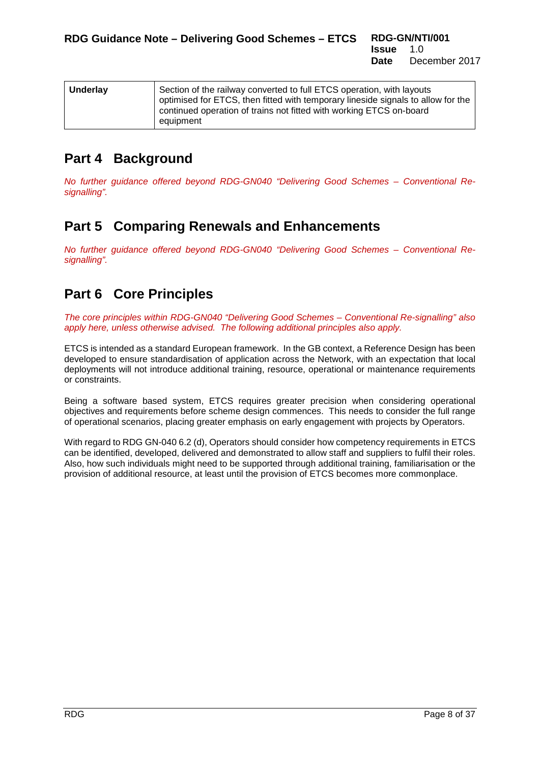| <b>Underlay</b> | Section of the railway converted to full ETCS operation, with layouts<br>optimised for ETCS, then fitted with temporary lineside signals to allow for the |
|-----------------|-----------------------------------------------------------------------------------------------------------------------------------------------------------|
|                 | continued operation of trains not fitted with working ETCS on-board<br>equipment                                                                          |

## <span id="page-7-0"></span>**Part 4 Background**

*No further guidance offered beyond RDG-GN040 "Delivering Good Schemes – Conventional Resignalling".* 

### <span id="page-7-1"></span>**Part 5 Comparing Renewals and Enhancements**

*No further guidance offered beyond RDG-GN040 "Delivering Good Schemes – Conventional Resignalling".* 

## <span id="page-7-2"></span>**Part 6 Core Principles**

*The core principles within RDG-GN040 "Delivering Good Schemes – Conventional Re-signalling" also apply here, unless otherwise advised. The following additional principles also apply.*

ETCS is intended as a standard European framework. In the GB context, a Reference Design has been developed to ensure standardisation of application across the Network, with an expectation that local deployments will not introduce additional training, resource, operational or maintenance requirements or constraints.

Being a software based system, ETCS requires greater precision when considering operational objectives and requirements before scheme design commences. This needs to consider the full range of operational scenarios, placing greater emphasis on early engagement with projects by Operators.

With regard to RDG GN-040 6.2 (d), Operators should consider how competency requirements in ETCS can be identified, developed, delivered and demonstrated to allow staff and suppliers to fulfil their roles. Also, how such individuals might need to be supported through additional training, familiarisation or the provision of additional resource, at least until the provision of ETCS becomes more commonplace.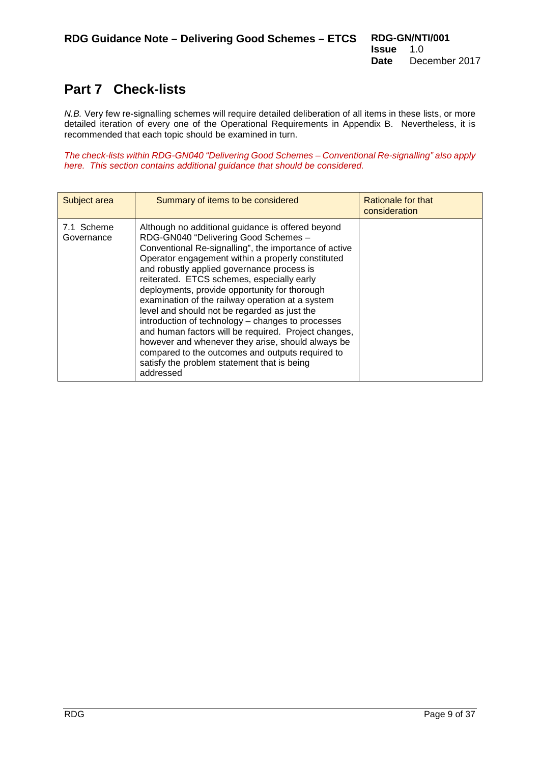## <span id="page-8-0"></span>**Part 7 Check-lists**

*N.B.* Very few re-signalling schemes will require detailed deliberation of all items in these lists, or more detailed iteration of every one of the Operational Requirements in Appendix B. Nevertheless, it is recommended that each topic should be examined in turn.

*The check-lists within RDG-GN040 "Delivering Good Schemes – Conventional Re-signalling" also apply here. This section contains additional guidance that should be considered.*

<span id="page-8-1"></span>

| Subject area             | Summary of items to be considered                                                                                                                                                                                                                                                                                                                                                                                                                                                                                                                                                                                                                                                                                                          | Rationale for that<br>consideration |
|--------------------------|--------------------------------------------------------------------------------------------------------------------------------------------------------------------------------------------------------------------------------------------------------------------------------------------------------------------------------------------------------------------------------------------------------------------------------------------------------------------------------------------------------------------------------------------------------------------------------------------------------------------------------------------------------------------------------------------------------------------------------------------|-------------------------------------|
| 7.1 Scheme<br>Governance | Although no additional guidance is offered beyond<br>RDG-GN040 "Delivering Good Schemes -<br>Conventional Re-signalling", the importance of active<br>Operator engagement within a properly constituted<br>and robustly applied governance process is<br>reiterated. ETCS schemes, especially early<br>deployments, provide opportunity for thorough<br>examination of the railway operation at a system<br>level and should not be regarded as just the<br>introduction of technology – changes to processes<br>and human factors will be required. Project changes,<br>however and whenever they arise, should always be<br>compared to the outcomes and outputs required to<br>satisfy the problem statement that is being<br>addressed |                                     |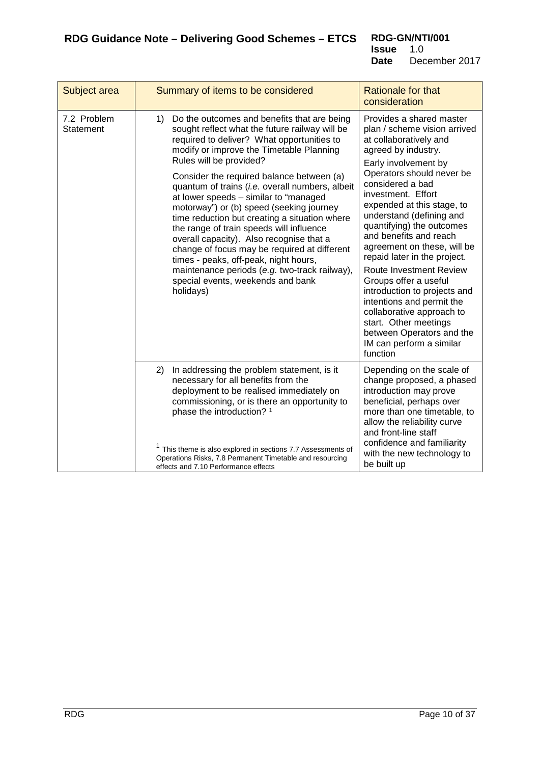<span id="page-9-0"></span>

| Subject area             | Summary of items to be considered                                                                                                                                                                                                                                                                                                                                                                                                                                                                                                                                                                                                                                                                                                                  | <b>Rationale for that</b><br>consideration                                                                                                                                                                                                                                                                                                                                                                                                                                                                                                                                                                                           |
|--------------------------|----------------------------------------------------------------------------------------------------------------------------------------------------------------------------------------------------------------------------------------------------------------------------------------------------------------------------------------------------------------------------------------------------------------------------------------------------------------------------------------------------------------------------------------------------------------------------------------------------------------------------------------------------------------------------------------------------------------------------------------------------|--------------------------------------------------------------------------------------------------------------------------------------------------------------------------------------------------------------------------------------------------------------------------------------------------------------------------------------------------------------------------------------------------------------------------------------------------------------------------------------------------------------------------------------------------------------------------------------------------------------------------------------|
| 7.2 Problem<br>Statement | Do the outcomes and benefits that are being<br>1)<br>sought reflect what the future railway will be<br>required to deliver? What opportunities to<br>modify or improve the Timetable Planning<br>Rules will be provided?<br>Consider the required balance between (a)<br>quantum of trains (i.e. overall numbers, albeit<br>at lower speeds - similar to "managed<br>motorway") or (b) speed (seeking journey<br>time reduction but creating a situation where<br>the range of train speeds will influence<br>overall capacity). Also recognise that a<br>change of focus may be required at different<br>times - peaks, off-peak, night hours,<br>maintenance periods (e.g. two-track railway),<br>special events, weekends and bank<br>holidays) | Provides a shared master<br>plan / scheme vision arrived<br>at collaboratively and<br>agreed by industry.<br>Early involvement by<br>Operators should never be<br>considered a bad<br>investment. Effort<br>expended at this stage, to<br>understand (defining and<br>quantifying) the outcomes<br>and benefits and reach<br>agreement on these, will be<br>repaid later in the project.<br>Route Investment Review<br>Groups offer a useful<br>introduction to projects and<br>intentions and permit the<br>collaborative approach to<br>start. Other meetings<br>between Operators and the<br>IM can perform a similar<br>function |
|                          | 2)<br>In addressing the problem statement, is it<br>necessary for all benefits from the<br>deployment to be realised immediately on<br>commissioning, or is there an opportunity to<br>phase the introduction? 1<br><sup>1</sup> This theme is also explored in sections 7.7 Assessments of<br>Operations Risks, 7.8 Permanent Timetable and resourcing<br>effects and 7.10 Performance effects                                                                                                                                                                                                                                                                                                                                                    | Depending on the scale of<br>change proposed, a phased<br>introduction may prove<br>beneficial, perhaps over<br>more than one timetable, to<br>allow the reliability curve<br>and front-line staff<br>confidence and familiarity<br>with the new technology to<br>be built up                                                                                                                                                                                                                                                                                                                                                        |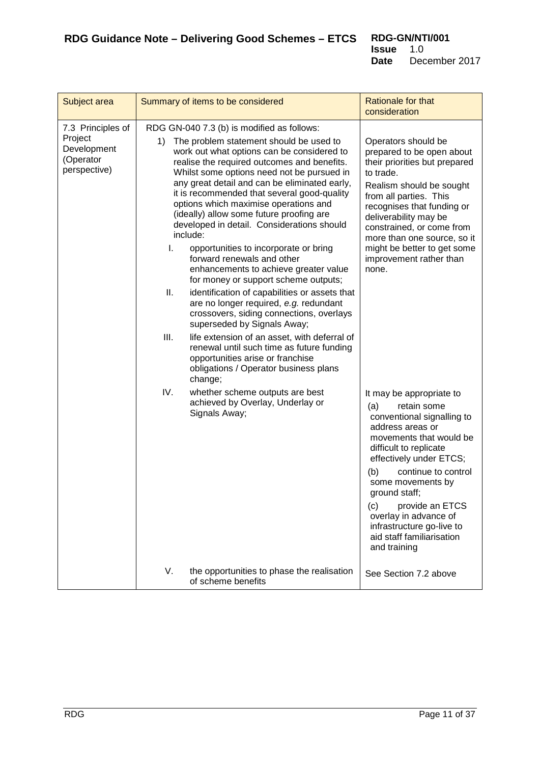<span id="page-10-0"></span>

| Subject area                                                             |                            | Summary of items to be considered                                                                                                                                                                                                                                                                                                                                                                                                                                                                                                                                                                                                                                                                                                                                                                 | Rationale for that<br>consideration                                                                                                                                                                                                                                                                                                                                               |
|--------------------------------------------------------------------------|----------------------------|---------------------------------------------------------------------------------------------------------------------------------------------------------------------------------------------------------------------------------------------------------------------------------------------------------------------------------------------------------------------------------------------------------------------------------------------------------------------------------------------------------------------------------------------------------------------------------------------------------------------------------------------------------------------------------------------------------------------------------------------------------------------------------------------------|-----------------------------------------------------------------------------------------------------------------------------------------------------------------------------------------------------------------------------------------------------------------------------------------------------------------------------------------------------------------------------------|
| 7.3 Principles of<br>Project<br>Development<br>(Operator<br>perspective) | 1)<br>include:<br>I.<br>Ш. | RDG GN-040 7.3 (b) is modified as follows:<br>The problem statement should be used to<br>work out what options can be considered to<br>realise the required outcomes and benefits.<br>Whilst some options need not be pursued in<br>any great detail and can be eliminated early,<br>it is recommended that several good-quality<br>options which maximise operations and<br>(ideally) allow some future proofing are<br>developed in detail. Considerations should<br>opportunities to incorporate or bring<br>forward renewals and other<br>enhancements to achieve greater value<br>for money or support scheme outputs;<br>identification of capabilities or assets that<br>are no longer required, e.g. redundant<br>crossovers, siding connections, overlays<br>superseded by Signals Away; | Operators should be<br>prepared to be open about<br>their priorities but prepared<br>to trade.<br>Realism should be sought<br>from all parties. This<br>recognises that funding or<br>deliverability may be<br>constrained, or come from<br>more than one source, so it<br>might be better to get some<br>improvement rather than<br>none.                                        |
|                                                                          | Ш.<br>IV.                  | life extension of an asset, with deferral of<br>renewal until such time as future funding<br>opportunities arise or franchise<br>obligations / Operator business plans<br>change;<br>whether scheme outputs are best<br>achieved by Overlay, Underlay or<br>Signals Away;                                                                                                                                                                                                                                                                                                                                                                                                                                                                                                                         | It may be appropriate to<br>(a)<br>retain some<br>conventional signalling to<br>address areas or<br>movements that would be<br>difficult to replicate<br>effectively under ETCS;<br>continue to control<br>(b)<br>some movements by<br>ground staff;<br>provide an ETCS<br>(c)<br>overlay in advance of<br>infrastructure go-live to<br>aid staff familiarisation<br>and training |
|                                                                          | V.                         | the opportunities to phase the realisation<br>of scheme benefits                                                                                                                                                                                                                                                                                                                                                                                                                                                                                                                                                                                                                                                                                                                                  | See Section 7.2 above                                                                                                                                                                                                                                                                                                                                                             |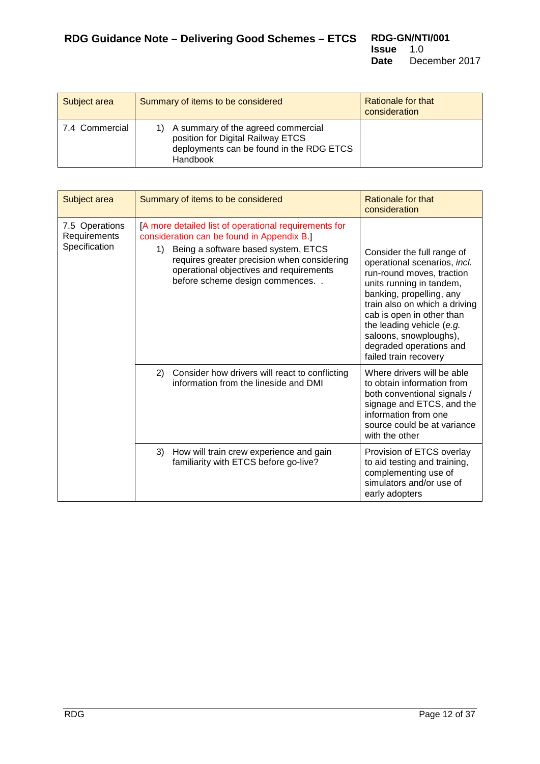<span id="page-11-0"></span>

| Subject area   | Summary of items to be considered                                                                                               | Rationale for that<br>consideration |
|----------------|---------------------------------------------------------------------------------------------------------------------------------|-------------------------------------|
| 7.4 Commercial | A summary of the agreed commercial<br>position for Digital Railway ETCS<br>deployments can be found in the RDG ETCS<br>Handbook |                                     |

<span id="page-11-1"></span>

| Subject area                                    | Summary of items to be considered                                                                                                                                                                                                                                            | Rationale for that<br>consideration                                                                                                                                                                                                                                                                                      |
|-------------------------------------------------|------------------------------------------------------------------------------------------------------------------------------------------------------------------------------------------------------------------------------------------------------------------------------|--------------------------------------------------------------------------------------------------------------------------------------------------------------------------------------------------------------------------------------------------------------------------------------------------------------------------|
| 7.5 Operations<br>Requirements<br>Specification | [A more detailed list of operational requirements for<br>consideration can be found in Appendix B.]<br>Being a software based system, ETCS<br>1)<br>requires greater precision when considering<br>operational objectives and requirements<br>before scheme design commences | Consider the full range of<br>operational scenarios, incl.<br>run-round moves, traction<br>units running in tandem,<br>banking, propelling, any<br>train also on which a driving<br>cab is open in other than<br>the leading vehicle (e.g.<br>saloons, snowploughs),<br>degraded operations and<br>failed train recovery |
|                                                 | Consider how drivers will react to conflicting<br>2)<br>information from the lineside and DMI                                                                                                                                                                                | Where drivers will be able<br>to obtain information from<br>both conventional signals /<br>signage and ETCS, and the<br>information from one<br>source could be at variance<br>with the other                                                                                                                            |
|                                                 | 3)<br>How will train crew experience and gain<br>familiarity with ETCS before go-live?                                                                                                                                                                                       | Provision of ETCS overlay<br>to aid testing and training,<br>complementing use of<br>simulators and/or use of<br>early adopters                                                                                                                                                                                          |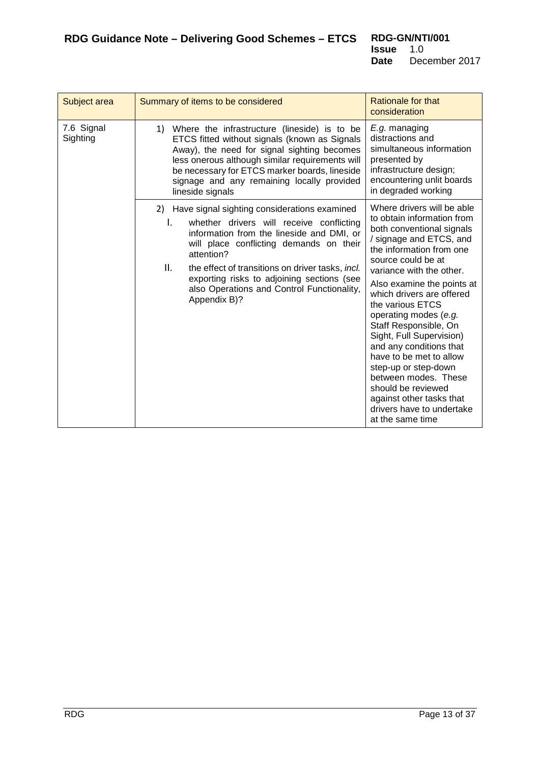<span id="page-12-0"></span>

| Subject area           | Summary of items to be considered                                                                                                                                                                                                                                                                                                                                             | Rationale for that<br>consideration                                                                                                                                                                                                                                                                                                                                                                                                                                                                                                                                  |
|------------------------|-------------------------------------------------------------------------------------------------------------------------------------------------------------------------------------------------------------------------------------------------------------------------------------------------------------------------------------------------------------------------------|----------------------------------------------------------------------------------------------------------------------------------------------------------------------------------------------------------------------------------------------------------------------------------------------------------------------------------------------------------------------------------------------------------------------------------------------------------------------------------------------------------------------------------------------------------------------|
| 7.6 Signal<br>Sighting | Where the infrastructure (lineside) is to be<br>1)<br>ETCS fitted without signals (known as Signals<br>Away), the need for signal sighting becomes<br>less onerous although similar requirements will<br>be necessary for ETCS marker boards, lineside<br>signage and any remaining locally provided<br>lineside signals                                                      | E.g. managing<br>distractions and<br>simultaneous information<br>presented by<br>infrastructure design;<br>encountering unlit boards<br>in degraded working                                                                                                                                                                                                                                                                                                                                                                                                          |
|                        | 2) Have signal sighting considerations examined<br>whether drivers will receive conflicting<br>I.<br>information from the lineside and DMI, or<br>will place conflicting demands on their<br>attention?<br>Ш.<br>the effect of transitions on driver tasks, incl.<br>exporting risks to adjoining sections (see<br>also Operations and Control Functionality,<br>Appendix B)? | Where drivers will be able<br>to obtain information from<br>both conventional signals<br>/ signage and ETCS, and<br>the information from one<br>source could be at<br>variance with the other.<br>Also examine the points at<br>which drivers are offered<br>the various ETCS<br>operating modes (e.g.<br>Staff Responsible, On<br>Sight, Full Supervision)<br>and any conditions that<br>have to be met to allow<br>step-up or step-down<br>between modes. These<br>should be reviewed<br>against other tasks that<br>drivers have to undertake<br>at the same time |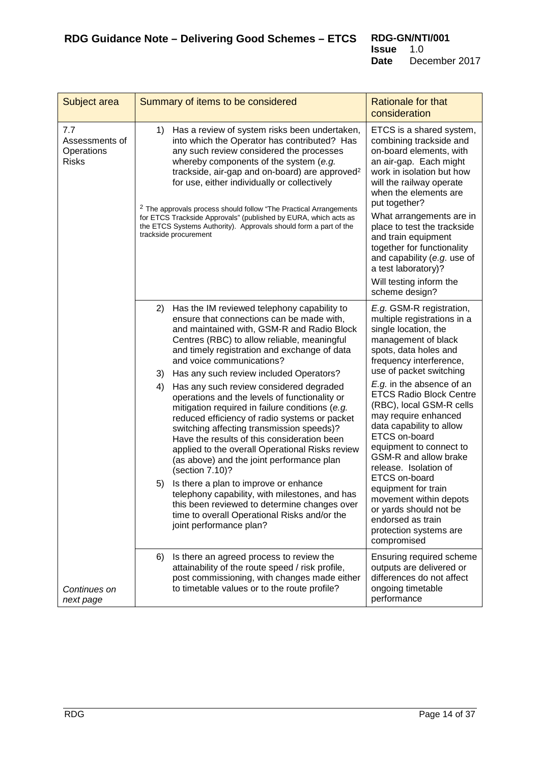<span id="page-13-0"></span>

| Subject area                                                                     | Summary of items to be considered                                                                                                                                                                                                                                                                                                                                                                                                                                                                                                                                                                                                                                                                                                                                                                                                                                                                                                                                          | <b>Rationale for that</b><br>consideration                                                                                                                                                                                                                                                                                                                                                                                                                                                                                                                                                   |
|----------------------------------------------------------------------------------|----------------------------------------------------------------------------------------------------------------------------------------------------------------------------------------------------------------------------------------------------------------------------------------------------------------------------------------------------------------------------------------------------------------------------------------------------------------------------------------------------------------------------------------------------------------------------------------------------------------------------------------------------------------------------------------------------------------------------------------------------------------------------------------------------------------------------------------------------------------------------------------------------------------------------------------------------------------------------|----------------------------------------------------------------------------------------------------------------------------------------------------------------------------------------------------------------------------------------------------------------------------------------------------------------------------------------------------------------------------------------------------------------------------------------------------------------------------------------------------------------------------------------------------------------------------------------------|
| 7.7<br>Assessments of<br>Operations<br><b>Risks</b><br>Continues on<br>next page | Has a review of system risks been undertaken,<br>1)<br>into which the Operator has contributed? Has<br>any such review considered the processes<br>whereby components of the system (e.g.<br>trackside, air-gap and on-board) are approved <sup>2</sup><br>for use, either individually or collectively<br><sup>2</sup> The approvals process should follow "The Practical Arrangements<br>for ETCS Trackside Approvals" (published by EURA, which acts as<br>the ETCS Systems Authority). Approvals should form a part of the<br>trackside procurement                                                                                                                                                                                                                                                                                                                                                                                                                    | ETCS is a shared system,<br>combining trackside and<br>on-board elements, with<br>an air-gap. Each might<br>work in isolation but how<br>will the railway operate<br>when the elements are<br>put together?<br>What arrangements are in<br>place to test the trackside<br>and train equipment<br>together for functionality<br>and capability (e.g. use of<br>a test laboratory)?<br>Will testing inform the<br>scheme design?                                                                                                                                                               |
|                                                                                  | 2)<br>Has the IM reviewed telephony capability to<br>ensure that connections can be made with,<br>and maintained with, GSM-R and Radio Block<br>Centres (RBC) to allow reliable, meaningful<br>and timely registration and exchange of data<br>and voice communications?<br>Has any such review included Operators?<br>3)<br>4)<br>Has any such review considered degraded<br>operations and the levels of functionality or<br>mitigation required in failure conditions (e.g.<br>reduced efficiency of radio systems or packet<br>switching affecting transmission speeds)?<br>Have the results of this consideration been<br>applied to the overall Operational Risks review<br>(as above) and the joint performance plan<br>(section 7.10)?<br>Is there a plan to improve or enhance<br>5)<br>telephony capability, with milestones, and has<br>this been reviewed to determine changes over<br>time to overall Operational Risks and/or the<br>joint performance plan? | E.g. GSM-R registration,<br>multiple registrations in a<br>single location, the<br>management of black<br>spots, data holes and<br>frequency interference,<br>use of packet switching<br>E.g. in the absence of an<br><b>ETCS Radio Block Centre</b><br>(RBC), local GSM-R cells<br>may require enhanced<br>data capability to allow<br>ETCS on-board<br>equipment to connect to<br>GSM-R and allow brake<br>release. Isolation of<br>ETCS on-board<br>equipment for train<br>movement within depots<br>or yards should not be<br>endorsed as train<br>protection systems are<br>compromised |
|                                                                                  | Is there an agreed process to review the<br>6)<br>attainability of the route speed / risk profile,<br>post commissioning, with changes made either<br>to timetable values or to the route profile?                                                                                                                                                                                                                                                                                                                                                                                                                                                                                                                                                                                                                                                                                                                                                                         | Ensuring required scheme<br>outputs are delivered or<br>differences do not affect<br>ongoing timetable<br>performance                                                                                                                                                                                                                                                                                                                                                                                                                                                                        |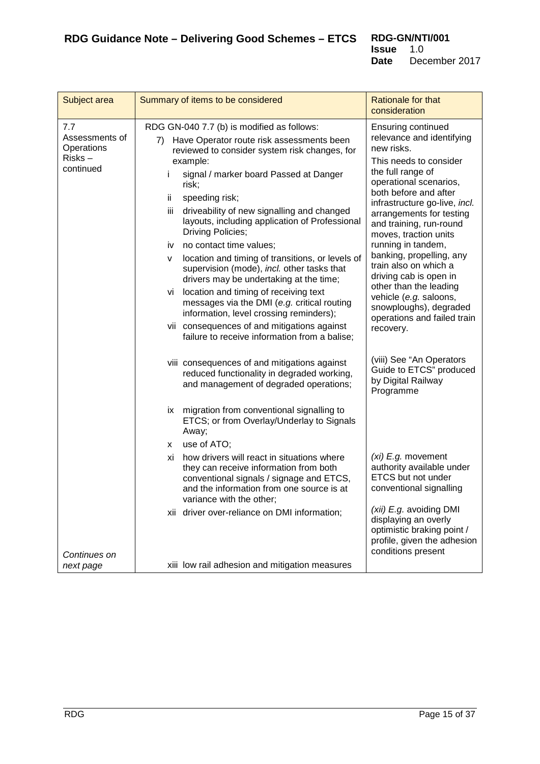| Subject area                                                | Summary of items to be considered                                                                                                                                                                                                                                                                                                                                                                                                                                                                                                                                                                                                                         | Rationale for that<br>consideration                                                                                                                                                                                                                                                                                                                                                                                                              |
|-------------------------------------------------------------|-----------------------------------------------------------------------------------------------------------------------------------------------------------------------------------------------------------------------------------------------------------------------------------------------------------------------------------------------------------------------------------------------------------------------------------------------------------------------------------------------------------------------------------------------------------------------------------------------------------------------------------------------------------|--------------------------------------------------------------------------------------------------------------------------------------------------------------------------------------------------------------------------------------------------------------------------------------------------------------------------------------------------------------------------------------------------------------------------------------------------|
| 7.7<br>Assessments of<br>Operations<br>Risks –<br>continued | RDG GN-040 7.7 (b) is modified as follows:<br>Have Operator route risk assessments been<br>7)<br>reviewed to consider system risk changes, for<br>example:<br>signal / marker board Passed at Danger<br>i<br>risk;<br>ij.<br>speeding risk;<br>driveability of new signalling and changed<br>iii.<br>layouts, including application of Professional<br>Driving Policies;<br>no contact time values;<br>iv<br>location and timing of transitions, or levels of<br>v<br>supervision (mode), incl. other tasks that<br>drivers may be undertaking at the time;<br>location and timing of receiving text<br>VÌ<br>messages via the DMI (e.g. critical routing | <b>Ensuring continued</b><br>relevance and identifying<br>new risks.<br>This needs to consider<br>the full range of<br>operational scenarios,<br>both before and after<br>infrastructure go-live, incl.<br>arrangements for testing<br>and training, run-round<br>moves, traction units<br>running in tandem,<br>banking, propelling, any<br>train also on which a<br>driving cab is open in<br>other than the leading<br>vehicle (e.g. saloons, |
|                                                             | information, level crossing reminders);<br>vii consequences of and mitigations against<br>failure to receive information from a balise;                                                                                                                                                                                                                                                                                                                                                                                                                                                                                                                   | snowploughs), degraded<br>operations and failed train<br>recovery.                                                                                                                                                                                                                                                                                                                                                                               |
|                                                             | viii consequences of and mitigations against<br>reduced functionality in degraded working,<br>and management of degraded operations;                                                                                                                                                                                                                                                                                                                                                                                                                                                                                                                      | (viii) See "An Operators<br>Guide to ETCS" produced<br>by Digital Railway<br>Programme                                                                                                                                                                                                                                                                                                                                                           |
|                                                             | migration from conventional signalling to<br>İХ.<br>ETCS; or from Overlay/Underlay to Signals<br>Away;                                                                                                                                                                                                                                                                                                                                                                                                                                                                                                                                                    |                                                                                                                                                                                                                                                                                                                                                                                                                                                  |
|                                                             | use of ATO;<br>x.                                                                                                                                                                                                                                                                                                                                                                                                                                                                                                                                                                                                                                         |                                                                                                                                                                                                                                                                                                                                                                                                                                                  |
| Continues on                                                | how drivers will react in situations where<br>хi<br>they can receive information from both<br>conventional signals / signage and ETCS,<br>and the information from one source is at<br>variance with the other;                                                                                                                                                                                                                                                                                                                                                                                                                                           | (xi) E.g. movement<br>authority available under<br>ETCS but not under<br>conventional signalling                                                                                                                                                                                                                                                                                                                                                 |
|                                                             | xii driver over-reliance on DMI information;                                                                                                                                                                                                                                                                                                                                                                                                                                                                                                                                                                                                              | (xii) E.g. avoiding DMI<br>displaying an overly<br>optimistic braking point /<br>profile, given the adhesion<br>conditions present                                                                                                                                                                                                                                                                                                               |
| next page                                                   | xiii low rail adhesion and mitigation measures                                                                                                                                                                                                                                                                                                                                                                                                                                                                                                                                                                                                            |                                                                                                                                                                                                                                                                                                                                                                                                                                                  |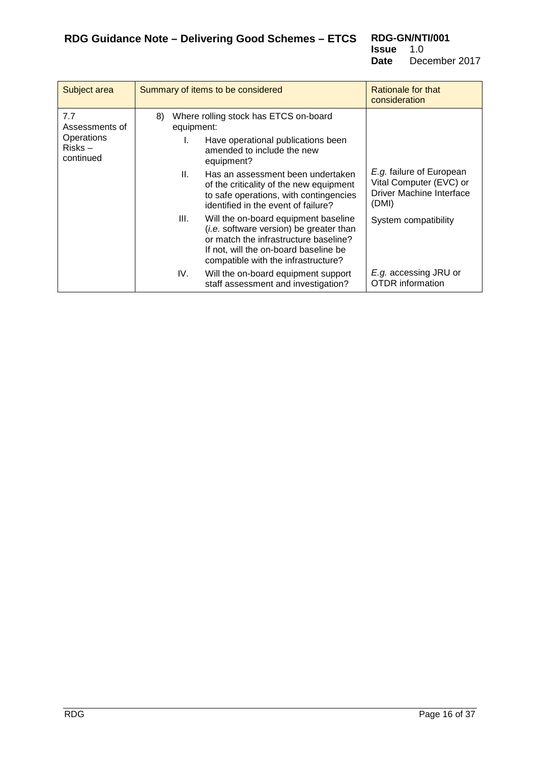| Subject area                                                        | Summary of items to be considered                                                                                                                                                                                                                                                                                  | Rationale for that<br>consideration                                                             |
|---------------------------------------------------------------------|--------------------------------------------------------------------------------------------------------------------------------------------------------------------------------------------------------------------------------------------------------------------------------------------------------------------|-------------------------------------------------------------------------------------------------|
| 7.7<br>8)<br>Assessments of<br>Operations<br>$Risks -$<br>continued | Where rolling stock has ETCS on-board<br>equipment:<br>L.<br>Have operational publications been<br>amended to include the new<br>equipment?<br>Ш.<br>Has an assessment been undertaken<br>of the criticality of the new equipment<br>to safe operations, with contingencies<br>identified in the event of failure? | <i>E.g.</i> failure of European<br>Vital Computer (EVC) or<br>Driver Machine Interface<br>(DMI) |
|                                                                     | III.<br>Will the on-board equipment baseline<br>(i.e. software version) be greater than<br>or match the infrastructure baseline?<br>If not, will the on-board baseline be<br>compatible with the infrastructure?<br>IV.<br>Will the on-board equipment support<br>staff assessment and investigation?              | System compatibility<br>E.g. accessing JRU or<br><b>OTDR</b> information                        |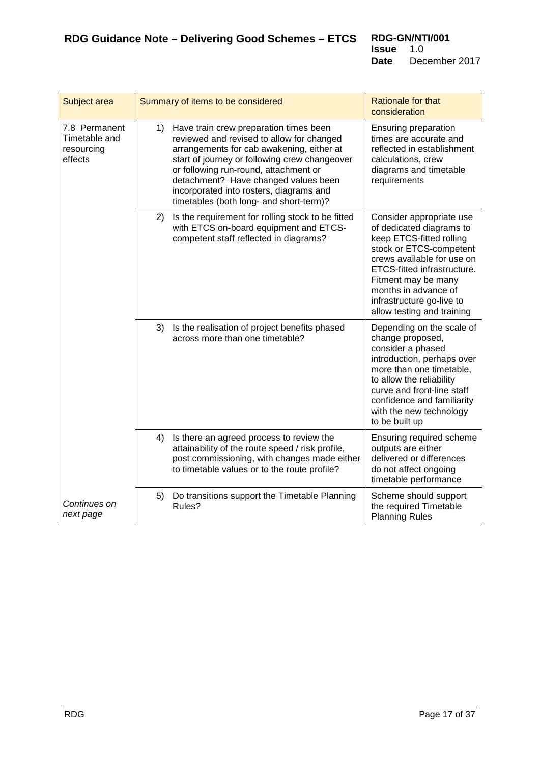<span id="page-16-0"></span>

| Subject area                                            | Summary of items to be considered                                                                                                                                                                                                                                                                                                                              | <b>Rationale for that</b><br>consideration                                                                                                                                                                                                                                         |
|---------------------------------------------------------|----------------------------------------------------------------------------------------------------------------------------------------------------------------------------------------------------------------------------------------------------------------------------------------------------------------------------------------------------------------|------------------------------------------------------------------------------------------------------------------------------------------------------------------------------------------------------------------------------------------------------------------------------------|
| 7.8 Permanent<br>Timetable and<br>resourcing<br>effects | Have train crew preparation times been<br>1)<br>reviewed and revised to allow for changed<br>arrangements for cab awakening, either at<br>start of journey or following crew changeover<br>or following run-round, attachment or<br>detachment? Have changed values been<br>incorporated into rosters, diagrams and<br>timetables (both long- and short-term)? | Ensuring preparation<br>times are accurate and<br>reflected in establishment<br>calculations, crew<br>diagrams and timetable<br>requirements                                                                                                                                       |
|                                                         | Is the requirement for rolling stock to be fitted<br>2)<br>with ETCS on-board equipment and ETCS-<br>competent staff reflected in diagrams?                                                                                                                                                                                                                    | Consider appropriate use<br>of dedicated diagrams to<br>keep ETCS-fitted rolling<br>stock or ETCS-competent<br>crews available for use on<br>ETCS-fitted infrastructure.<br>Fitment may be many<br>months in advance of<br>infrastructure go-live to<br>allow testing and training |
|                                                         | 3)<br>Is the realisation of project benefits phased<br>across more than one timetable?                                                                                                                                                                                                                                                                         | Depending on the scale of<br>change proposed,<br>consider a phased<br>introduction, perhaps over<br>more than one timetable,<br>to allow the reliability<br>curve and front-line staff<br>confidence and familiarity<br>with the new technology<br>to be built up                  |
|                                                         | 4)<br>Is there an agreed process to review the<br>attainability of the route speed / risk profile,<br>post commissioning, with changes made either<br>to timetable values or to the route profile?                                                                                                                                                             | Ensuring required scheme<br>outputs are either<br>delivered or differences<br>do not affect ongoing<br>timetable performance                                                                                                                                                       |
| Continues on<br>next page                               | Do transitions support the Timetable Planning<br>5)<br>Rules?                                                                                                                                                                                                                                                                                                  | Scheme should support<br>the required Timetable<br><b>Planning Rules</b>                                                                                                                                                                                                           |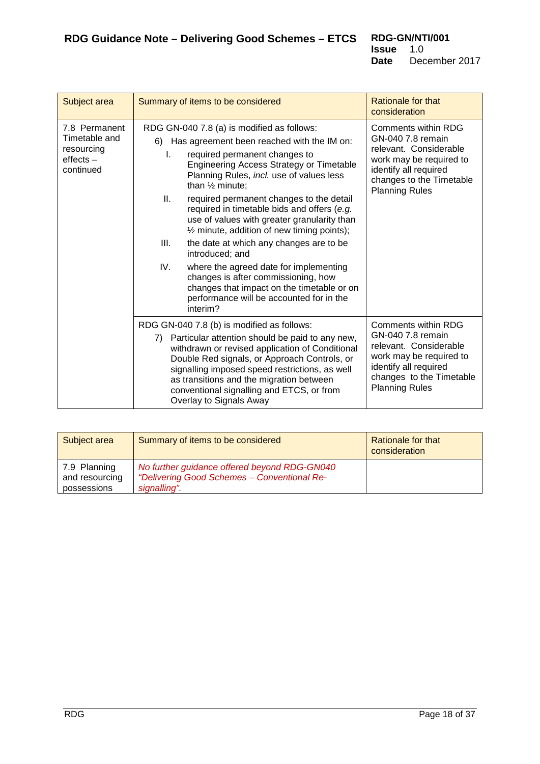| Subject area                                                             | Summary of items to be considered                                                                                                                                                                                                                                                                                                                                                                                                                                                                                                                                                                                                                                                                                              | Rationale for that                                                                                                                                                                 |
|--------------------------------------------------------------------------|--------------------------------------------------------------------------------------------------------------------------------------------------------------------------------------------------------------------------------------------------------------------------------------------------------------------------------------------------------------------------------------------------------------------------------------------------------------------------------------------------------------------------------------------------------------------------------------------------------------------------------------------------------------------------------------------------------------------------------|------------------------------------------------------------------------------------------------------------------------------------------------------------------------------------|
|                                                                          |                                                                                                                                                                                                                                                                                                                                                                                                                                                                                                                                                                                                                                                                                                                                | consideration                                                                                                                                                                      |
| 7.8 Permanent<br>Timetable and<br>resourcing<br>$effects -$<br>continued | RDG GN-040 7.8 (a) is modified as follows:<br>Has agreement been reached with the IM on:<br>6)<br>required permanent changes to<br>L.<br>Engineering Access Strategy or Timetable<br>Planning Rules, incl. use of values less<br>than 1/2 minute;<br>Ш.<br>required permanent changes to the detail<br>required in timetable bids and offers (e.g.<br>use of values with greater granularity than<br>$\frac{1}{2}$ minute, addition of new timing points);<br>III.<br>the date at which any changes are to be<br>introduced; and<br>IV.<br>where the agreed date for implementing<br>changes is after commissioning, how<br>changes that impact on the timetable or on<br>performance will be accounted for in the<br>interim? | Comments within RDG<br>GN-040 7.8 remain<br>relevant. Considerable<br>work may be required to<br>identify all required<br>changes to the Timetable<br><b>Planning Rules</b>        |
|                                                                          | RDG GN-040 7.8 (b) is modified as follows:<br>Particular attention should be paid to any new,<br>7)<br>withdrawn or revised application of Conditional<br>Double Red signals, or Approach Controls, or<br>signalling imposed speed restrictions, as well<br>as transitions and the migration between<br>conventional signalling and ETCS, or from<br>Overlay to Signals Away                                                                                                                                                                                                                                                                                                                                                   | <b>Comments within RDG</b><br>GN-040 7.8 remain<br>relevant. Considerable<br>work may be required to<br>identify all required<br>changes to the Timetable<br><b>Planning Rules</b> |

<span id="page-17-0"></span>

| Subject area                                  | Summary of items to be considered                                                                           | <b>Rationale for that</b><br>consideration |
|-----------------------------------------------|-------------------------------------------------------------------------------------------------------------|--------------------------------------------|
| 7.9 Planning<br>and resourcing<br>possessions | No further guidance offered beyond RDG-GN040<br>"Delivering Good Schemes - Conventional Re-<br>signalling". |                                            |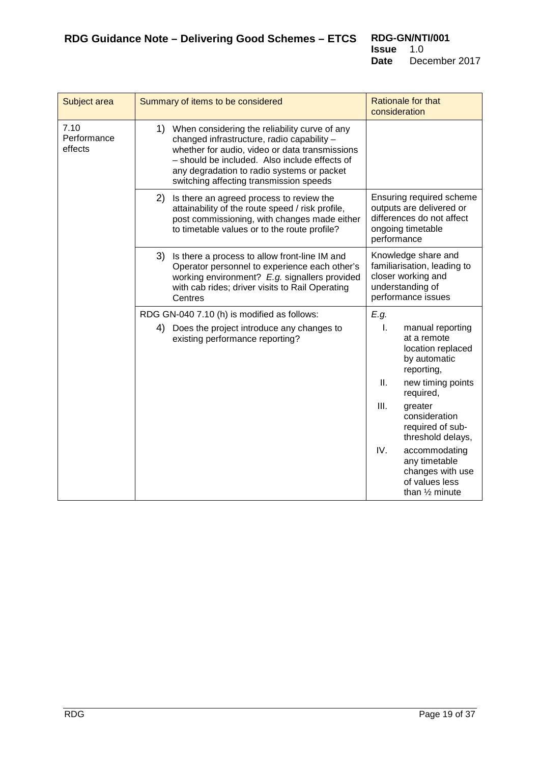<span id="page-18-0"></span>

| Subject area                   | Summary of items to be considered                                                                                                                                                                                                                                                          | <b>Rationale for that</b><br>consideration                                                                            |
|--------------------------------|--------------------------------------------------------------------------------------------------------------------------------------------------------------------------------------------------------------------------------------------------------------------------------------------|-----------------------------------------------------------------------------------------------------------------------|
| 7.10<br>Performance<br>effects | 1) When considering the reliability curve of any<br>changed infrastructure, radio capability -<br>whether for audio, video or data transmissions<br>- should be included. Also include effects of<br>any degradation to radio systems or packet<br>switching affecting transmission speeds |                                                                                                                       |
|                                | 2)<br>Is there an agreed process to review the<br>attainability of the route speed / risk profile,<br>post commissioning, with changes made either<br>to timetable values or to the route profile?                                                                                         | Ensuring required scheme<br>outputs are delivered or<br>differences do not affect<br>ongoing timetable<br>performance |
|                                | Is there a process to allow front-line IM and<br>3)<br>Operator personnel to experience each other's<br>working environment? E.g. signallers provided<br>with cab rides; driver visits to Rail Operating<br>Centres                                                                        | Knowledge share and<br>familiarisation, leading to<br>closer working and<br>understanding of<br>performance issues    |
|                                | RDG GN-040 7.10 (h) is modified as follows:                                                                                                                                                                                                                                                | E.g.                                                                                                                  |
|                                | 4) Does the project introduce any changes to<br>existing performance reporting?                                                                                                                                                                                                            | $\mathbf{L}$<br>manual reporting<br>at a remote<br>location replaced<br>by automatic<br>reporting,                    |
|                                |                                                                                                                                                                                                                                                                                            | Ш.<br>new timing points<br>required,                                                                                  |
|                                |                                                                                                                                                                                                                                                                                            | III.<br>greater<br>consideration<br>required of sub-<br>threshold delays,                                             |
|                                |                                                                                                                                                                                                                                                                                            | IV.<br>accommodating<br>any timetable<br>changes with use<br>of values less<br>than $\frac{1}{2}$ minute              |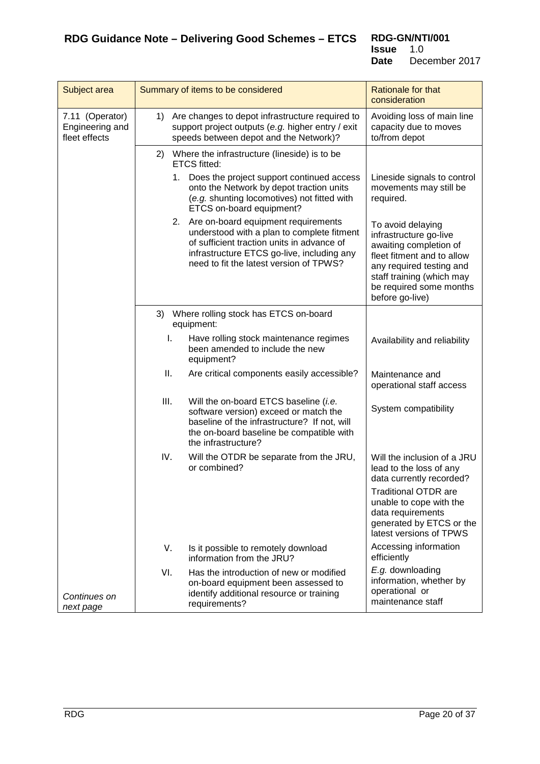<span id="page-19-0"></span>

| Subject area                                        | Summary of items to be considered                                                                                                                                                                                           | <b>Rationale for that</b><br>consideration                                                                                                                                                                 |
|-----------------------------------------------------|-----------------------------------------------------------------------------------------------------------------------------------------------------------------------------------------------------------------------------|------------------------------------------------------------------------------------------------------------------------------------------------------------------------------------------------------------|
| 7.11 (Operator)<br>Engineering and<br>fleet effects | Are changes to depot infrastructure required to<br>1)<br>support project outputs (e.g. higher entry / exit<br>speeds between depot and the Network)?                                                                        | Avoiding loss of main line<br>capacity due to moves<br>to/from depot                                                                                                                                       |
|                                                     | Where the infrastructure (lineside) is to be<br>2)<br><b>ETCS fitted:</b>                                                                                                                                                   |                                                                                                                                                                                                            |
|                                                     | 1. Does the project support continued access<br>onto the Network by depot traction units<br>(e.g. shunting locomotives) not fitted with<br>ETCS on-board equipment?                                                         | Lineside signals to control<br>movements may still be<br>required.                                                                                                                                         |
|                                                     | 2. Are on-board equipment requirements<br>understood with a plan to complete fitment<br>of sufficient traction units in advance of<br>infrastructure ETCS go-live, including any<br>need to fit the latest version of TPWS? | To avoid delaying<br>infrastructure go-live<br>awaiting completion of<br>fleet fitment and to allow<br>any required testing and<br>staff training (which may<br>be required some months<br>before go-live) |
|                                                     | 3)<br>Where rolling stock has ETCS on-board<br>equipment:                                                                                                                                                                   |                                                                                                                                                                                                            |
|                                                     | Have rolling stock maintenance regimes<br>I.<br>been amended to include the new<br>equipment?                                                                                                                               | Availability and reliability                                                                                                                                                                               |
|                                                     | ΙΙ.<br>Are critical components easily accessible?                                                                                                                                                                           | Maintenance and<br>operational staff access                                                                                                                                                                |
|                                                     | III.<br>Will the on-board ETCS baseline (i.e.<br>software version) exceed or match the<br>baseline of the infrastructure? If not, will<br>the on-board baseline be compatible with<br>the infrastructure?                   | System compatibility                                                                                                                                                                                       |
|                                                     | IV.<br>Will the OTDR be separate from the JRU,<br>or combined?                                                                                                                                                              | Will the inclusion of a JRU<br>lead to the loss of any<br>data currently recorded?                                                                                                                         |
|                                                     |                                                                                                                                                                                                                             | <b>Traditional OTDR are</b><br>unable to cope with the<br>data requirements<br>generated by ETCS or the<br>latest versions of TPWS                                                                         |
|                                                     | V.<br>Is it possible to remotely download<br>information from the JRU?                                                                                                                                                      | Accessing information<br>efficiently                                                                                                                                                                       |
| Continues on<br>next page                           | VI.<br>Has the introduction of new or modified<br>on-board equipment been assessed to<br>identify additional resource or training<br>requirements?                                                                          | E.g. downloading<br>information, whether by<br>operational or<br>maintenance staff                                                                                                                         |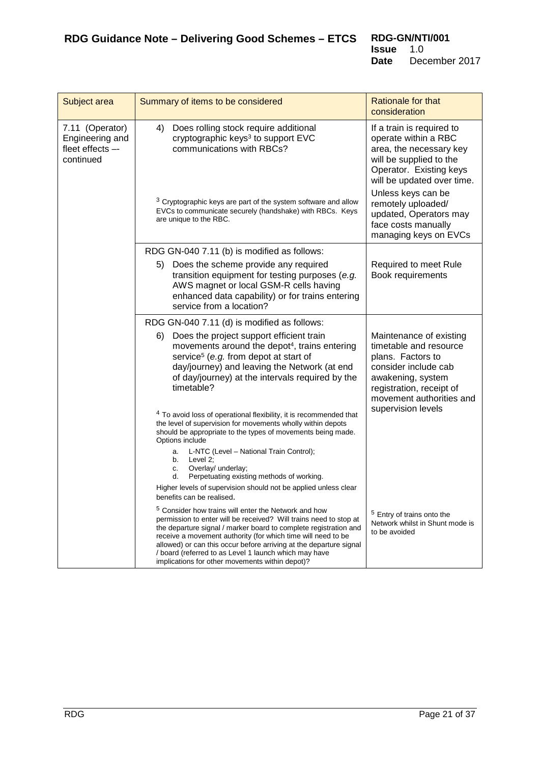| Subject area                                                        | Summary of items to be considered                                                                                                                                                                                                                                                                                                                                                                                                                          | <b>Rationale for that</b><br>consideration                                                                                                                                                                                                                                             |
|---------------------------------------------------------------------|------------------------------------------------------------------------------------------------------------------------------------------------------------------------------------------------------------------------------------------------------------------------------------------------------------------------------------------------------------------------------------------------------------------------------------------------------------|----------------------------------------------------------------------------------------------------------------------------------------------------------------------------------------------------------------------------------------------------------------------------------------|
| 7.11 (Operator)<br>Engineering and<br>fleet effects --<br>continued | 4)<br>Does rolling stock require additional<br>cryptographic keys <sup>3</sup> to support EVC<br>communications with RBCs?<br><sup>3</sup> Cryptographic keys are part of the system software and allow<br>EVCs to communicate securely (handshake) with RBCs. Keys<br>are unique to the RBC.                                                                                                                                                              | If a train is required to<br>operate within a RBC<br>area, the necessary key<br>will be supplied to the<br>Operator. Existing keys<br>will be updated over time.<br>Unless keys can be<br>remotely uploaded/<br>updated, Operators may<br>face costs manually<br>managing keys on EVCs |
|                                                                     | RDG GN-040 7.11 (b) is modified as follows:                                                                                                                                                                                                                                                                                                                                                                                                                |                                                                                                                                                                                                                                                                                        |
|                                                                     | Does the scheme provide any required<br>5)<br>transition equipment for testing purposes (e.g.<br>AWS magnet or local GSM-R cells having<br>enhanced data capability) or for trains entering<br>service from a location?                                                                                                                                                                                                                                    | Required to meet Rule<br>Book requirements                                                                                                                                                                                                                                             |
|                                                                     | RDG GN-040 7.11 (d) is modified as follows:                                                                                                                                                                                                                                                                                                                                                                                                                |                                                                                                                                                                                                                                                                                        |
|                                                                     | Does the project support efficient train<br>6)<br>movements around the depot <sup>4</sup> , trains entering<br>service <sup>5</sup> (e.g. from depot at start of<br>day/journey) and leaving the Network (at end<br>of day/journey) at the intervals required by the<br>timetable?                                                                                                                                                                         | Maintenance of existing<br>timetable and resource<br>plans. Factors to<br>consider include cab<br>awakening, system<br>registration, receipt of<br>movement authorities and                                                                                                            |
|                                                                     | <sup>4</sup> To avoid loss of operational flexibility, it is recommended that<br>the level of supervision for movements wholly within depots<br>should be appropriate to the types of movements being made.<br>Options include                                                                                                                                                                                                                             | supervision levels                                                                                                                                                                                                                                                                     |
|                                                                     | L-NTC (Level - National Train Control);<br>a.<br>Level 2;<br>b.<br>Overlay/ underlay;<br>c.<br>Perpetuating existing methods of working.<br>d.                                                                                                                                                                                                                                                                                                             |                                                                                                                                                                                                                                                                                        |
|                                                                     | Higher levels of supervision should not be applied unless clear<br>benefits can be realised.                                                                                                                                                                                                                                                                                                                                                               |                                                                                                                                                                                                                                                                                        |
|                                                                     | <sup>5</sup> Consider how trains will enter the Network and how<br>permission to enter will be received? Will trains need to stop at<br>the departure signal / marker board to complete registration and<br>receive a movement authority (for which time will need to be<br>allowed) or can this occur before arriving at the departure signal<br>/ board (referred to as Level 1 launch which may have<br>implications for other movements within depot)? | <sup>5</sup> Entry of trains onto the<br>Network whilst in Shunt mode is<br>to be avoided                                                                                                                                                                                              |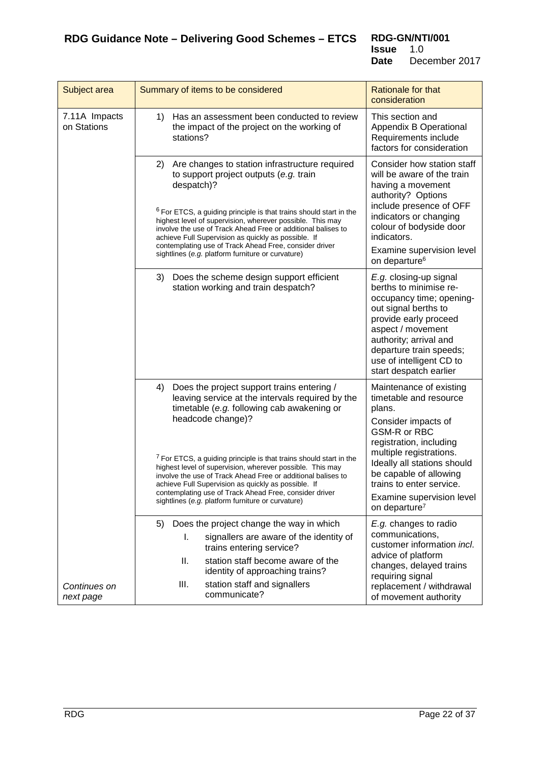**RDG-GN/NTI/001**<br>**Issue** 1.0 **Issue**<br>Date December 2017

<span id="page-21-0"></span>

| Subject area                 | Summary of items to be considered                                                                                                                                                                                                                                                                                                                                                                                                                                                                                                                           | <b>Rationale for that</b><br>consideration                                                                                                                                                                                                                                                              |
|------------------------------|-------------------------------------------------------------------------------------------------------------------------------------------------------------------------------------------------------------------------------------------------------------------------------------------------------------------------------------------------------------------------------------------------------------------------------------------------------------------------------------------------------------------------------------------------------------|---------------------------------------------------------------------------------------------------------------------------------------------------------------------------------------------------------------------------------------------------------------------------------------------------------|
| 7.11A Impacts<br>on Stations | Has an assessment been conducted to review<br>1)<br>the impact of the project on the working of<br>stations?                                                                                                                                                                                                                                                                                                                                                                                                                                                | This section and<br>Appendix B Operational<br>Requirements include<br>factors for consideration                                                                                                                                                                                                         |
| Continues on<br>next page    | Are changes to station infrastructure required<br>(2)<br>to support project outputs (e.g. train<br>despatch)?<br><sup>6</sup> For ETCS, a guiding principle is that trains should start in the<br>highest level of supervision, wherever possible. This may<br>involve the use of Track Ahead Free or additional balises to<br>achieve Full Supervision as quickly as possible. If<br>contemplating use of Track Ahead Free, consider driver<br>sightlines (e.g. platform furniture or curvature)                                                           | Consider how station staff<br>will be aware of the train<br>having a movement<br>authority? Options<br>include presence of OFF<br>indicators or changing<br>colour of bodyside door<br>indicators.<br>Examine supervision level<br>on departure <sup>6</sup>                                            |
|                              | Does the scheme design support efficient<br>3)<br>station working and train despatch?                                                                                                                                                                                                                                                                                                                                                                                                                                                                       | E.g. closing-up signal<br>berths to minimise re-<br>occupancy time; opening-<br>out signal berths to<br>provide early proceed<br>aspect / movement<br>authority; arrival and<br>departure train speeds;<br>use of intelligent CD to<br>start despatch earlier                                           |
|                              | 4)<br>Does the project support trains entering /<br>leaving service at the intervals required by the<br>timetable (e.g. following cab awakening or<br>headcode change)?<br><sup>7</sup> For ETCS, a guiding principle is that trains should start in the<br>highest level of supervision, wherever possible. This may<br>involve the use of Track Ahead Free or additional balises to<br>achieve Full Supervision as quickly as possible. If<br>contemplating use of Track Ahead Free, consider driver<br>sightlines (e.g. platform furniture or curvature) | Maintenance of existing<br>timetable and resource<br>plans.<br>Consider impacts of<br>GSM-R or RBC<br>registration, including<br>multiple registrations.<br>Ideally all stations should<br>be capable of allowing<br>trains to enter service.<br>Examine supervision level<br>on departure <sup>7</sup> |
|                              | Does the project change the way in which<br>5)<br>signallers are aware of the identity of<br>ı.<br>trains entering service?<br>station staff become aware of the<br>ΙΙ.<br>identity of approaching trains?<br>Ш.<br>station staff and signallers<br>communicate?                                                                                                                                                                                                                                                                                            | E.g. changes to radio<br>communications,<br>customer information incl.<br>advice of platform<br>changes, delayed trains<br>requiring signal<br>replacement / withdrawal<br>of movement authority                                                                                                        |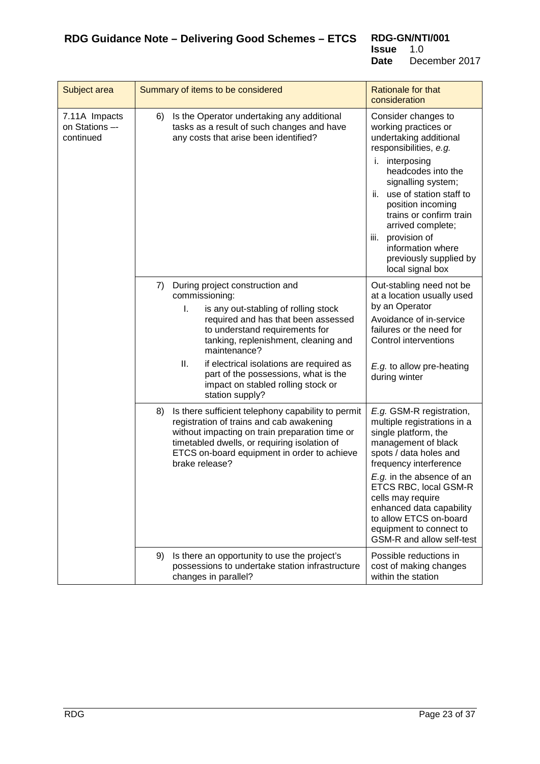| Subject area                               | Summary of items to be considered                                                                                                                                                                                                                                                                                                                                                          | Rationale for that<br>consideration                                                                                                                                                                                                                                                                                                                                |
|--------------------------------------------|--------------------------------------------------------------------------------------------------------------------------------------------------------------------------------------------------------------------------------------------------------------------------------------------------------------------------------------------------------------------------------------------|--------------------------------------------------------------------------------------------------------------------------------------------------------------------------------------------------------------------------------------------------------------------------------------------------------------------------------------------------------------------|
| 7.11A Impacts<br>on Stations-<br>continued | Is the Operator undertaking any additional<br>6)<br>tasks as a result of such changes and have<br>any costs that arise been identified?                                                                                                                                                                                                                                                    | Consider changes to<br>working practices or<br>undertaking additional<br>responsibilities, e.g.<br>interposing<br>i.<br>headcodes into the<br>signalling system;<br>use of station staff to<br>ii.<br>position incoming<br>trains or confirm train<br>arrived complete;<br>provision of<br>iii.<br>information where<br>previously supplied by<br>local signal box |
|                                            | 7)<br>During project construction and<br>commissioning:<br>I.<br>is any out-stabling of rolling stock<br>required and has that been assessed<br>to understand requirements for<br>tanking, replenishment, cleaning and<br>maintenance?<br>ΙΙ.<br>if electrical isolations are required as<br>part of the possessions, what is the<br>impact on stabled rolling stock or<br>station supply? | Out-stabling need not be<br>at a location usually used<br>by an Operator<br>Avoidance of in-service<br>failures or the need for<br>Control interventions<br>E.g. to allow pre-heating<br>during winter                                                                                                                                                             |
|                                            | Is there sufficient telephony capability to permit<br>8)<br>registration of trains and cab awakening<br>without impacting on train preparation time or<br>timetabled dwells, or requiring isolation of<br>ETCS on-board equipment in order to achieve<br>brake release?                                                                                                                    | E.g. GSM-R registration,<br>multiple registrations in a<br>single platform, the<br>management of black<br>spots / data holes and<br>frequency interference<br>E.g. in the absence of an<br>ETCS RBC, local GSM-R<br>cells may require<br>enhanced data capability<br>to allow ETCS on-board<br>equipment to connect to<br>GSM-R and allow self-test                |
|                                            | 9)<br>Is there an opportunity to use the project's<br>possessions to undertake station infrastructure<br>changes in parallel?                                                                                                                                                                                                                                                              | Possible reductions in<br>cost of making changes<br>within the station                                                                                                                                                                                                                                                                                             |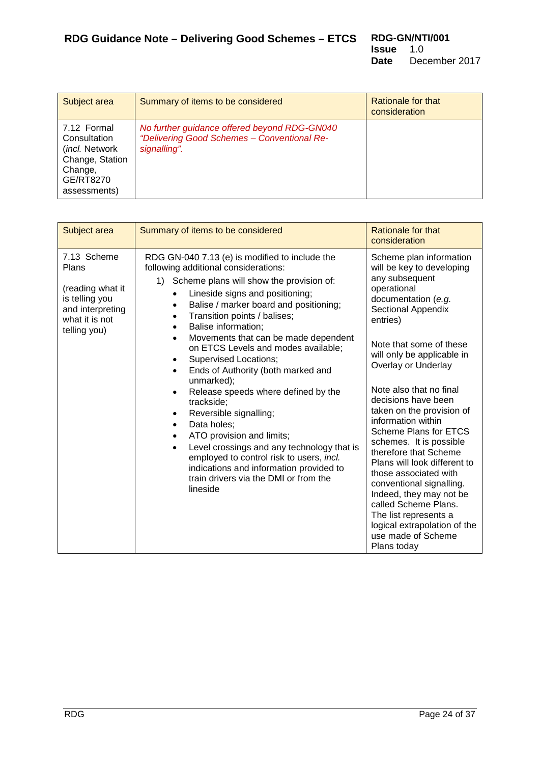<span id="page-23-0"></span>

| Subject area                                                                                              | Summary of items to be considered                                                                           | Rationale for that<br>consideration |
|-----------------------------------------------------------------------------------------------------------|-------------------------------------------------------------------------------------------------------------|-------------------------------------|
| 7.12 Formal<br>Consultation<br>(incl. Network)<br>Change, Station<br>Change,<br>GE/RT8270<br>assessments) | No further guidance offered beyond RDG-GN040<br>"Delivering Good Schemes - Conventional Re-<br>signalling". |                                     |

<span id="page-23-1"></span>

| Subject area                                                                                                     | Summary of items to be considered                                                                                                                                                                                                                                                                                                                                                                                                                                                                                                                                                                                                                                                                                                                                                                                                                                            | Rationale for that<br>consideration                                                                                                                                                                                                                                                                                                                                                                                                                                                                                                                                                                                                                    |
|------------------------------------------------------------------------------------------------------------------|------------------------------------------------------------------------------------------------------------------------------------------------------------------------------------------------------------------------------------------------------------------------------------------------------------------------------------------------------------------------------------------------------------------------------------------------------------------------------------------------------------------------------------------------------------------------------------------------------------------------------------------------------------------------------------------------------------------------------------------------------------------------------------------------------------------------------------------------------------------------------|--------------------------------------------------------------------------------------------------------------------------------------------------------------------------------------------------------------------------------------------------------------------------------------------------------------------------------------------------------------------------------------------------------------------------------------------------------------------------------------------------------------------------------------------------------------------------------------------------------------------------------------------------------|
| 7.13 Scheme<br>Plans<br>(reading what it<br>is telling you<br>and interpreting<br>what it is not<br>telling you) | RDG GN-040 7.13 (e) is modified to include the<br>following additional considerations:<br>Scheme plans will show the provision of:<br>1)<br>Lineside signs and positioning;<br>$\bullet$<br>Balise / marker board and positioning;<br>Transition points / balises;<br>Balise information;<br>$\bullet$<br>Movements that can be made dependent<br>$\bullet$<br>on ETCS Levels and modes available;<br><b>Supervised Locations;</b><br>$\bullet$<br>Ends of Authority (both marked and<br>$\bullet$<br>unmarked);<br>Release speeds where defined by the<br>$\bullet$<br>trackside;<br>Reversible signalling;<br>Data holes;<br>$\bullet$<br>ATO provision and limits;<br>Level crossings and any technology that is<br>$\bullet$<br>employed to control risk to users, incl.<br>indications and information provided to<br>train drivers via the DMI or from the<br>lineside | Scheme plan information<br>will be key to developing<br>any subsequent<br>operational<br>documentation (e.g.<br>Sectional Appendix<br>entries)<br>Note that some of these<br>will only be applicable in<br>Overlay or Underlay<br>Note also that no final<br>decisions have been<br>taken on the provision of<br>information within<br>Scheme Plans for ETCS<br>schemes. It is possible<br>therefore that Scheme<br>Plans will look different to<br>those associated with<br>conventional signalling.<br>Indeed, they may not be<br>called Scheme Plans.<br>The list represents a<br>logical extrapolation of the<br>use made of Scheme<br>Plans today |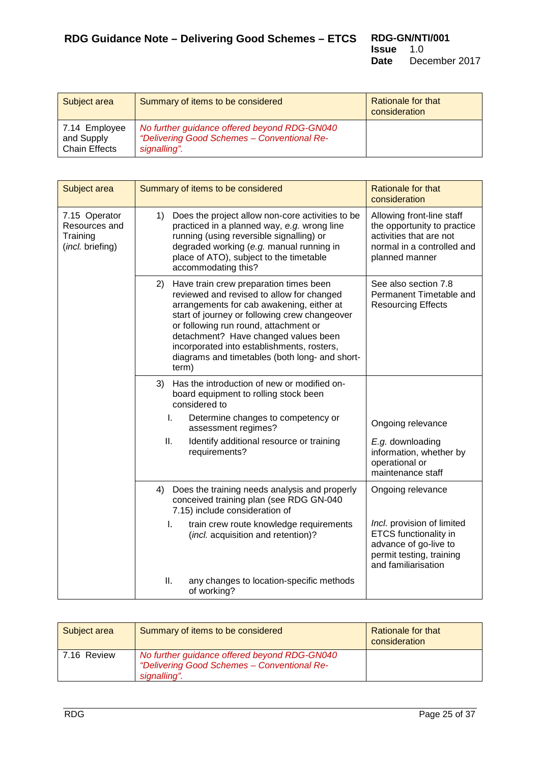<span id="page-24-0"></span>

| Subject area                                        | Summary of items to be considered                                                                           | Rationale for that<br>consideration |
|-----------------------------------------------------|-------------------------------------------------------------------------------------------------------------|-------------------------------------|
| 7.14 Employee<br>and Supply<br><b>Chain Effects</b> | No further guidance offered beyond RDG-GN040<br>"Delivering Good Schemes - Conventional Re-<br>signalling". |                                     |

<span id="page-24-1"></span>

| Subject area                                                   | Summary of items to be considered                                                                                                                                                                                                                                                                                                                                                 | <b>Rationale for that</b><br>consideration                                                                                             |
|----------------------------------------------------------------|-----------------------------------------------------------------------------------------------------------------------------------------------------------------------------------------------------------------------------------------------------------------------------------------------------------------------------------------------------------------------------------|----------------------------------------------------------------------------------------------------------------------------------------|
| 7.15 Operator<br>Resources and<br>Training<br>(incl. briefing) | Does the project allow non-core activities to be<br>1)<br>practiced in a planned way, e.g. wrong line<br>running (using reversible signalling) or<br>degraded working (e.g. manual running in<br>place of ATO), subject to the timetable<br>accommodating this?                                                                                                                   | Allowing front-line staff<br>the opportunity to practice<br>activities that are not<br>normal in a controlled and<br>planned manner    |
|                                                                | Have train crew preparation times been<br>2)<br>reviewed and revised to allow for changed<br>arrangements for cab awakening, either at<br>start of journey or following crew changeover<br>or following run round, attachment or<br>detachment? Have changed values been<br>incorporated into establishments, rosters,<br>diagrams and timetables (both long- and short-<br>term) | See also section 7.8<br>Permanent Timetable and<br><b>Resourcing Effects</b>                                                           |
|                                                                | Has the introduction of new or modified on-<br>3)<br>board equipment to rolling stock been<br>considered to                                                                                                                                                                                                                                                                       |                                                                                                                                        |
|                                                                | I.<br>Determine changes to competency or<br>assessment regimes?                                                                                                                                                                                                                                                                                                                   | Ongoing relevance                                                                                                                      |
|                                                                | ΙΙ.<br>Identify additional resource or training<br>requirements?                                                                                                                                                                                                                                                                                                                  | E.g. downloading<br>information, whether by<br>operational or<br>maintenance staff                                                     |
|                                                                | Does the training needs analysis and properly<br>4)<br>conceived training plan (see RDG GN-040<br>7.15) include consideration of                                                                                                                                                                                                                                                  | Ongoing relevance                                                                                                                      |
|                                                                | I.<br>train crew route knowledge requirements<br>(incl. acquisition and retention)?                                                                                                                                                                                                                                                                                               | Incl. provision of limited<br><b>ETCS</b> functionality in<br>advance of go-live to<br>permit testing, training<br>and familiarisation |
|                                                                | ΙΙ.<br>any changes to location-specific methods<br>of working?                                                                                                                                                                                                                                                                                                                    |                                                                                                                                        |

<span id="page-24-2"></span>

| Subject area | Summary of items to be considered                                                                           | Rationale for that<br>consideration |
|--------------|-------------------------------------------------------------------------------------------------------------|-------------------------------------|
| 7.16 Review  | No further guidance offered beyond RDG-GN040<br>"Delivering Good Schemes - Conventional Re-<br>signalling". |                                     |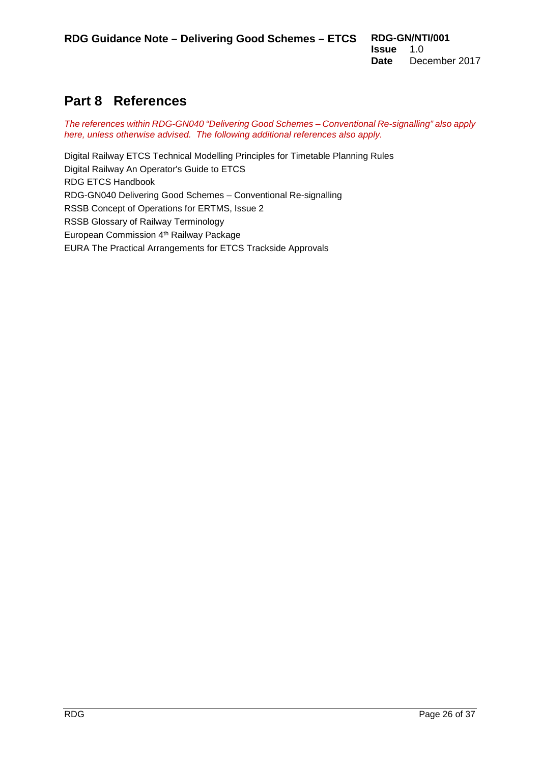## <span id="page-25-0"></span>**Part 8 References**

*The references within RDG-GN040 "Delivering Good Schemes – Conventional Re-signalling" also apply here, unless otherwise advised. The following additional references also apply.*

Digital Railway ETCS Technical Modelling Principles for Timetable Planning Rules Digital Railway An Operator's Guide to ETCS RDG ETCS Handbook RDG-GN040 Delivering Good Schemes – Conventional Re-signalling RSSB Concept of Operations for ERTMS, Issue 2 RSSB Glossary of Railway Terminology European Commission 4<sup>th</sup> Railway Package EURA The Practical Arrangements for ETCS Trackside Approvals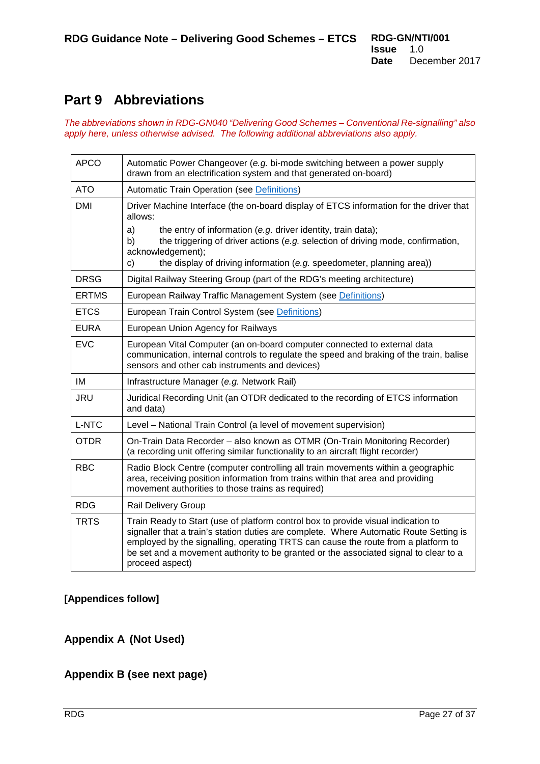## <span id="page-26-0"></span>**Part 9 Abbreviations**

*The abbreviations shown in RDG-GN040 "Delivering Good Schemes – Conventional Re-signalling" also apply here, unless otherwise advised. The following additional abbreviations also apply.*

| <b>APCO</b>  | Automatic Power Changeover (e.g. bi-mode switching between a power supply<br>drawn from an electrification system and that generated on-board)                                                                                                                                                                                                                              |  |
|--------------|-----------------------------------------------------------------------------------------------------------------------------------------------------------------------------------------------------------------------------------------------------------------------------------------------------------------------------------------------------------------------------|--|
| <b>ATO</b>   | <b>Automatic Train Operation (see Definitions)</b>                                                                                                                                                                                                                                                                                                                          |  |
| <b>DMI</b>   | Driver Machine Interface (the on-board display of ETCS information for the driver that<br>allows:                                                                                                                                                                                                                                                                           |  |
|              | a)<br>the entry of information (e.g. driver identity, train data);<br>the triggering of driver actions (e.g. selection of driving mode, confirmation,<br>b)<br>acknowledgement);<br>the display of driving information (e.g. speedometer, planning area))<br>c)                                                                                                             |  |
| <b>DRSG</b>  | Digital Railway Steering Group (part of the RDG's meeting architecture)                                                                                                                                                                                                                                                                                                     |  |
| <b>ERTMS</b> | European Railway Traffic Management System (see Definitions)                                                                                                                                                                                                                                                                                                                |  |
| <b>ETCS</b>  | European Train Control System (see Definitions)                                                                                                                                                                                                                                                                                                                             |  |
| <b>EURA</b>  | European Union Agency for Railways                                                                                                                                                                                                                                                                                                                                          |  |
| <b>EVC</b>   | European Vital Computer (an on-board computer connected to external data<br>communication, internal controls to regulate the speed and braking of the train, balise<br>sensors and other cab instruments and devices)                                                                                                                                                       |  |
| IM           | Infrastructure Manager (e.g. Network Rail)                                                                                                                                                                                                                                                                                                                                  |  |
| <b>JRU</b>   | Juridical Recording Unit (an OTDR dedicated to the recording of ETCS information<br>and data)                                                                                                                                                                                                                                                                               |  |
| <b>L-NTC</b> | Level - National Train Control (a level of movement supervision)                                                                                                                                                                                                                                                                                                            |  |
| <b>OTDR</b>  | On-Train Data Recorder - also known as OTMR (On-Train Monitoring Recorder)<br>(a recording unit offering similar functionality to an aircraft flight recorder)                                                                                                                                                                                                              |  |
| <b>RBC</b>   | Radio Block Centre (computer controlling all train movements within a geographic<br>area, receiving position information from trains within that area and providing<br>movement authorities to those trains as required)                                                                                                                                                    |  |
| <b>RDG</b>   | <b>Rail Delivery Group</b>                                                                                                                                                                                                                                                                                                                                                  |  |
| <b>TRTS</b>  | Train Ready to Start (use of platform control box to provide visual indication to<br>signaller that a train's station duties are complete. Where Automatic Route Setting is<br>employed by the signalling, operating TRTS can cause the route from a platform to<br>be set and a movement authority to be granted or the associated signal to clear to a<br>proceed aspect) |  |

### **[Appendices follow]**

#### <span id="page-26-1"></span>**Appendix A (Not Used)**

### **Appendix B (see next page)**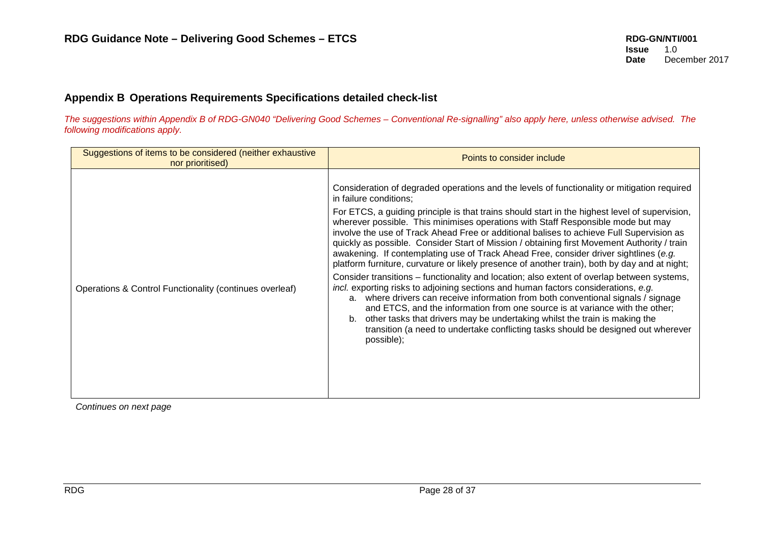#### **Appendix B Operations Requirements Specifications detailed check-list**

*The suggestions within Appendix B of RDG-GN040 "Delivering Good Schemes – Conventional Re-signalling" also apply here, unless otherwise advised. The following modifications apply.*

<span id="page-27-0"></span>

| Suggestions of items to be considered (neither exhaustive<br>nor prioritised) | Points to consider include                                                                                                                                                                                                                                                                                                                                                                                                                                                                                                                                                                                                                                                                                                                                                                                                                                                                                                                                                                                                                                                                                                                                                                                                                       |
|-------------------------------------------------------------------------------|--------------------------------------------------------------------------------------------------------------------------------------------------------------------------------------------------------------------------------------------------------------------------------------------------------------------------------------------------------------------------------------------------------------------------------------------------------------------------------------------------------------------------------------------------------------------------------------------------------------------------------------------------------------------------------------------------------------------------------------------------------------------------------------------------------------------------------------------------------------------------------------------------------------------------------------------------------------------------------------------------------------------------------------------------------------------------------------------------------------------------------------------------------------------------------------------------------------------------------------------------|
| Operations & Control Functionality (continues overleaf)                       | Consideration of degraded operations and the levels of functionality or mitigation required<br>in failure conditions;<br>For ETCS, a guiding principle is that trains should start in the highest level of supervision,<br>wherever possible. This minimises operations with Staff Responsible mode but may<br>involve the use of Track Ahead Free or additional balises to achieve Full Supervision as<br>quickly as possible. Consider Start of Mission / obtaining first Movement Authority / train<br>awakening. If contemplating use of Track Ahead Free, consider driver sightlines (e.g.<br>platform furniture, curvature or likely presence of another train), both by day and at night;<br>Consider transitions - functionality and location; also extent of overlap between systems,<br>incl. exporting risks to adjoining sections and human factors considerations, e.g.<br>a. where drivers can receive information from both conventional signals / signage<br>and ETCS, and the information from one source is at variance with the other;<br>other tasks that drivers may be undertaking whilst the train is making the<br>b.<br>transition (a need to undertake conflicting tasks should be designed out wherever<br>possible); |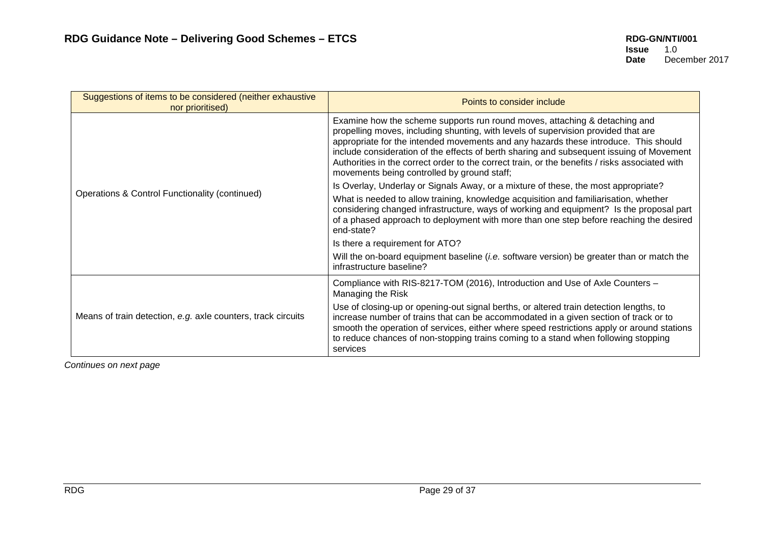| Suggestions of items to be considered (neither exhaustive<br>nor prioritised) | Points to consider include                                                                                                                                                                                                                                                                                                                                                                                                                                                                           |
|-------------------------------------------------------------------------------|------------------------------------------------------------------------------------------------------------------------------------------------------------------------------------------------------------------------------------------------------------------------------------------------------------------------------------------------------------------------------------------------------------------------------------------------------------------------------------------------------|
|                                                                               | Examine how the scheme supports run round moves, attaching & detaching and<br>propelling moves, including shunting, with levels of supervision provided that are<br>appropriate for the intended movements and any hazards these introduce. This should<br>include consideration of the effects of berth sharing and subsequent issuing of Movement<br>Authorities in the correct order to the correct train, or the benefits / risks associated with<br>movements being controlled by ground staff; |
|                                                                               | Is Overlay, Underlay or Signals Away, or a mixture of these, the most appropriate?                                                                                                                                                                                                                                                                                                                                                                                                                   |
| Operations & Control Functionality (continued)                                | What is needed to allow training, knowledge acquisition and familiarisation, whether<br>considering changed infrastructure, ways of working and equipment? Is the proposal part<br>of a phased approach to deployment with more than one step before reaching the desired<br>end-state?                                                                                                                                                                                                              |
|                                                                               | Is there a requirement for ATO?                                                                                                                                                                                                                                                                                                                                                                                                                                                                      |
|                                                                               | Will the on-board equipment baseline (i.e. software version) be greater than or match the<br>infrastructure baseline?                                                                                                                                                                                                                                                                                                                                                                                |
|                                                                               | Compliance with RIS-8217-TOM (2016), Introduction and Use of Axle Counters -<br>Managing the Risk                                                                                                                                                                                                                                                                                                                                                                                                    |
| Means of train detection, e.g. axle counters, track circuits                  | Use of closing-up or opening-out signal berths, or altered train detection lengths, to<br>increase number of trains that can be accommodated in a given section of track or to<br>smooth the operation of services, either where speed restrictions apply or around stations<br>to reduce chances of non-stopping trains coming to a stand when following stopping<br>services                                                                                                                       |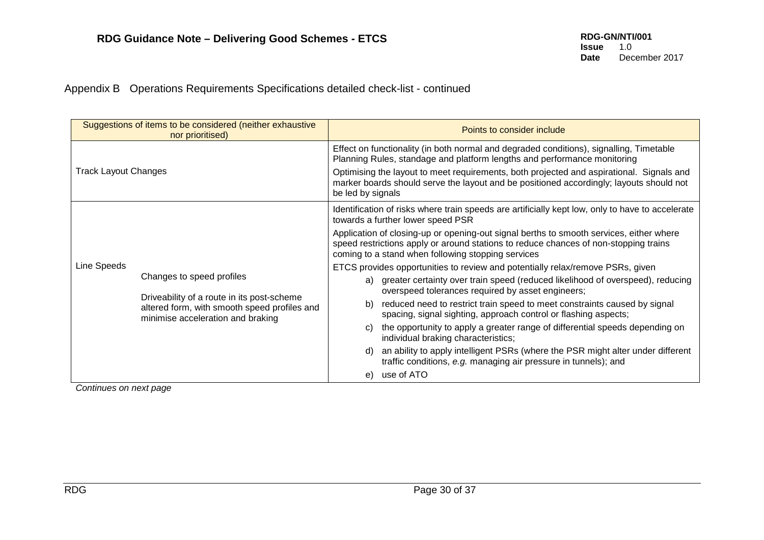Appendix B Operations Requirements Specifications detailed check-list - continued

|                                                                                                              | Suggestions of items to be considered (neither exhaustive<br>nor prioritised) |                                                                                                                                                                                                                                                                                                                                                                                 | Points to consider include                                                                                                                         |
|--------------------------------------------------------------------------------------------------------------|-------------------------------------------------------------------------------|---------------------------------------------------------------------------------------------------------------------------------------------------------------------------------------------------------------------------------------------------------------------------------------------------------------------------------------------------------------------------------|----------------------------------------------------------------------------------------------------------------------------------------------------|
| <b>Track Layout Changes</b>                                                                                  |                                                                               | Effect on functionality (in both normal and degraded conditions), signalling, Timetable<br>Planning Rules, standage and platform lengths and performance monitoring<br>Optimising the layout to meet requirements, both projected and aspirational. Signals and<br>marker boards should serve the layout and be positioned accordingly; layouts should not<br>be led by signals |                                                                                                                                                    |
|                                                                                                              |                                                                               |                                                                                                                                                                                                                                                                                                                                                                                 | Identification of risks where train speeds are artificially kept low, only to have to accelerate<br>towards a further lower speed PSR              |
|                                                                                                              |                                                                               | Application of closing-up or opening-out signal berths to smooth services, either where<br>speed restrictions apply or around stations to reduce chances of non-stopping trains<br>coming to a stand when following stopping services                                                                                                                                           |                                                                                                                                                    |
| Line Speeds                                                                                                  |                                                                               |                                                                                                                                                                                                                                                                                                                                                                                 | ETCS provides opportunities to review and potentially relax/remove PSRs, given                                                                     |
| Changes to speed profiles<br>Driveability of a route in its post-scheme<br>minimise acceleration and braking |                                                                               |                                                                                                                                                                                                                                                                                                                                                                                 | a) greater certainty over train speed (reduced likelihood of overspeed), reducing<br>overspeed tolerances required by asset engineers;             |
|                                                                                                              | altered form, with smooth speed profiles and                                  | b)                                                                                                                                                                                                                                                                                                                                                                              | reduced need to restrict train speed to meet constraints caused by signal<br>spacing, signal sighting, approach control or flashing aspects;       |
|                                                                                                              |                                                                               | C)                                                                                                                                                                                                                                                                                                                                                                              | the opportunity to apply a greater range of differential speeds depending on<br>individual braking characteristics;                                |
|                                                                                                              |                                                                               | d)                                                                                                                                                                                                                                                                                                                                                                              | an ability to apply intelligent PSRs (where the PSR might alter under different<br>traffic conditions, e.g. managing air pressure in tunnels); and |
|                                                                                                              |                                                                               | e)                                                                                                                                                                                                                                                                                                                                                                              | use of ATO                                                                                                                                         |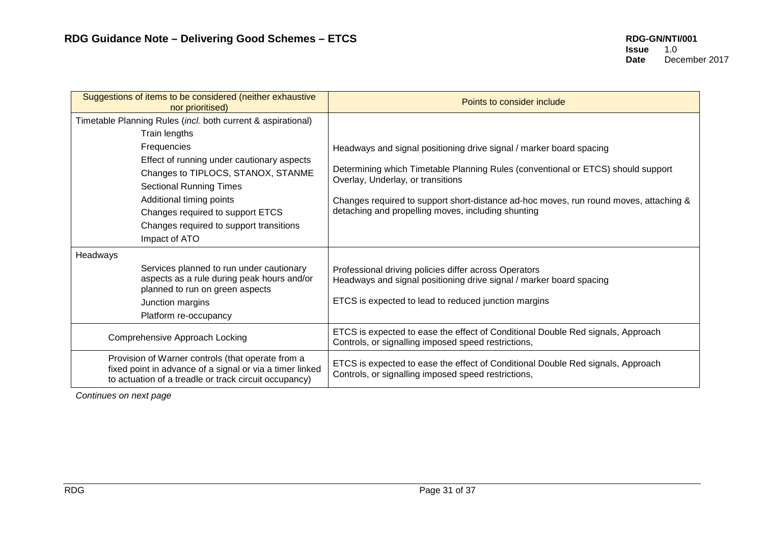| Suggestions of items to be considered (neither exhaustive<br>nor prioritised)                                                                                          | Points to consider include                                                                                                                  |
|------------------------------------------------------------------------------------------------------------------------------------------------------------------------|---------------------------------------------------------------------------------------------------------------------------------------------|
| Timetable Planning Rules (incl. both current & aspirational)<br>Train lengths                                                                                          |                                                                                                                                             |
| Frequencies<br>Effect of running under cautionary aspects                                                                                                              | Headways and signal positioning drive signal / marker board spacing                                                                         |
| Changes to TIPLOCS, STANOX, STANME<br><b>Sectional Running Times</b>                                                                                                   | Determining which Timetable Planning Rules (conventional or ETCS) should support<br>Overlay, Underlay, or transitions                       |
| Additional timing points<br>Changes required to support ETCS<br>Changes required to support transitions                                                                | Changes required to support short-distance ad-hoc moves, run round moves, attaching &<br>detaching and propelling moves, including shunting |
| Impact of ATO                                                                                                                                                          |                                                                                                                                             |
| Headways                                                                                                                                                               |                                                                                                                                             |
| Services planned to run under cautionary<br>aspects as a rule during peak hours and/or<br>planned to run on green aspects                                              | Professional driving policies differ across Operators<br>Headways and signal positioning drive signal / marker board spacing                |
| Junction margins                                                                                                                                                       | ETCS is expected to lead to reduced junction margins                                                                                        |
| Platform re-occupancy                                                                                                                                                  |                                                                                                                                             |
| Comprehensive Approach Locking                                                                                                                                         | ETCS is expected to ease the effect of Conditional Double Red signals, Approach<br>Controls, or signalling imposed speed restrictions,      |
| Provision of Warner controls (that operate from a<br>fixed point in advance of a signal or via a timer linked<br>to actuation of a treadle or track circuit occupancy) | ETCS is expected to ease the effect of Conditional Double Red signals, Approach<br>Controls, or signalling imposed speed restrictions,      |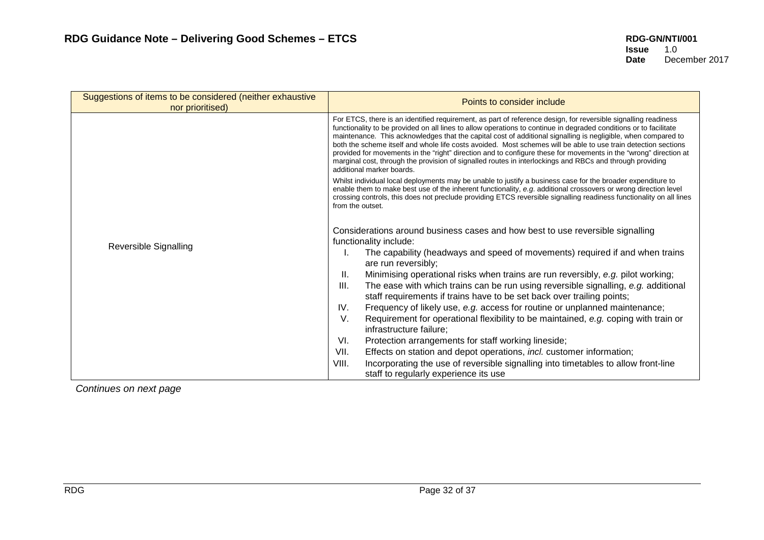| Suggestions of items to be considered (neither exhaustive<br>nor prioritised) | Points to consider include                                                                                                                                                                                                                                                                                                                                                                                                                                                                                                                                                                                                                                                                                                          |
|-------------------------------------------------------------------------------|-------------------------------------------------------------------------------------------------------------------------------------------------------------------------------------------------------------------------------------------------------------------------------------------------------------------------------------------------------------------------------------------------------------------------------------------------------------------------------------------------------------------------------------------------------------------------------------------------------------------------------------------------------------------------------------------------------------------------------------|
|                                                                               | For ETCS, there is an identified requirement, as part of reference design, for reversible signalling readiness<br>functionality to be provided on all lines to allow operations to continue in degraded conditions or to facilitate<br>maintenance. This acknowledges that the capital cost of additional signalling is negligible, when compared to<br>both the scheme itself and whole life costs avoided. Most schemes will be able to use train detection sections<br>provided for movements in the "right" direction and to configure these for movements in the "wrong" direction at<br>marginal cost, through the provision of signalled routes in interlockings and RBCs and through providing<br>additional marker boards. |
|                                                                               | Whilst individual local deployments may be unable to justify a business case for the broader expenditure to<br>enable them to make best use of the inherent functionality, e.g. additional crossovers or wrong direction level<br>crossing controls, this does not preclude providing ETCS reversible signalling readiness functionality on all lines<br>from the outset.                                                                                                                                                                                                                                                                                                                                                           |
|                                                                               | Considerations around business cases and how best to use reversible signalling<br>functionality include:                                                                                                                                                                                                                                                                                                                                                                                                                                                                                                                                                                                                                            |
| Reversible Signalling                                                         | The capability (headways and speed of movements) required if and when trains<br>are run reversibly;                                                                                                                                                                                                                                                                                                                                                                                                                                                                                                                                                                                                                                 |
|                                                                               | Minimising operational risks when trains are run reversibly, e.g. pilot working;<br>II.                                                                                                                                                                                                                                                                                                                                                                                                                                                                                                                                                                                                                                             |
|                                                                               | III.<br>The ease with which trains can be run using reversible signalling, e.g. additional<br>staff requirements if trains have to be set back over trailing points;                                                                                                                                                                                                                                                                                                                                                                                                                                                                                                                                                                |
|                                                                               | IV.<br>Frequency of likely use, e.g. access for routine or unplanned maintenance;                                                                                                                                                                                                                                                                                                                                                                                                                                                                                                                                                                                                                                                   |
|                                                                               | V.<br>Requirement for operational flexibility to be maintained, e.g. coping with train or<br>infrastructure failure;                                                                                                                                                                                                                                                                                                                                                                                                                                                                                                                                                                                                                |
|                                                                               | VI.<br>Protection arrangements for staff working lineside;                                                                                                                                                                                                                                                                                                                                                                                                                                                                                                                                                                                                                                                                          |
|                                                                               | Effects on station and depot operations, incl. customer information;<br>VII.                                                                                                                                                                                                                                                                                                                                                                                                                                                                                                                                                                                                                                                        |
|                                                                               | VIII.<br>Incorporating the use of reversible signalling into timetables to allow front-line<br>staff to regularly experience its use                                                                                                                                                                                                                                                                                                                                                                                                                                                                                                                                                                                                |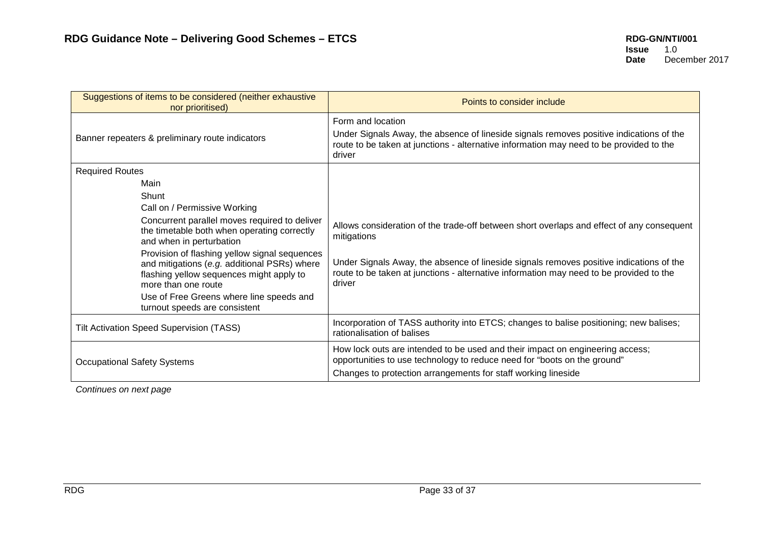| Suggestions of items to be considered (neither exhaustive<br>nor prioritised)                                                                                                                                                                 | Points to consider include                                                                                                                                                                                        |
|-----------------------------------------------------------------------------------------------------------------------------------------------------------------------------------------------------------------------------------------------|-------------------------------------------------------------------------------------------------------------------------------------------------------------------------------------------------------------------|
| Banner repeaters & preliminary route indicators                                                                                                                                                                                               | Form and location<br>Under Signals Away, the absence of lineside signals removes positive indications of the<br>route to be taken at junctions - alternative information may need to be provided to the<br>driver |
| <b>Required Routes</b>                                                                                                                                                                                                                        |                                                                                                                                                                                                                   |
| Main<br>Shunt                                                                                                                                                                                                                                 |                                                                                                                                                                                                                   |
| Call on / Permissive Working                                                                                                                                                                                                                  |                                                                                                                                                                                                                   |
| Concurrent parallel moves required to deliver<br>the timetable both when operating correctly<br>and when in perturbation                                                                                                                      | Allows consideration of the trade-off between short overlaps and effect of any consequent<br>mitigations                                                                                                          |
| Provision of flashing yellow signal sequences<br>and mitigations (e.g. additional PSRs) where<br>flashing yellow sequences might apply to<br>more than one route<br>Use of Free Greens where line speeds and<br>turnout speeds are consistent | Under Signals Away, the absence of lineside signals removes positive indications of the<br>route to be taken at junctions - alternative information may need to be provided to the<br>driver                      |
| <b>Tilt Activation Speed Supervision (TASS)</b>                                                                                                                                                                                               | Incorporation of TASS authority into ETCS; changes to balise positioning; new balises;<br>rationalisation of balises                                                                                              |
| <b>Occupational Safety Systems</b>                                                                                                                                                                                                            | How lock outs are intended to be used and their impact on engineering access;<br>opportunities to use technology to reduce need for "boots on the ground"                                                         |
|                                                                                                                                                                                                                                               | Changes to protection arrangements for staff working lineside                                                                                                                                                     |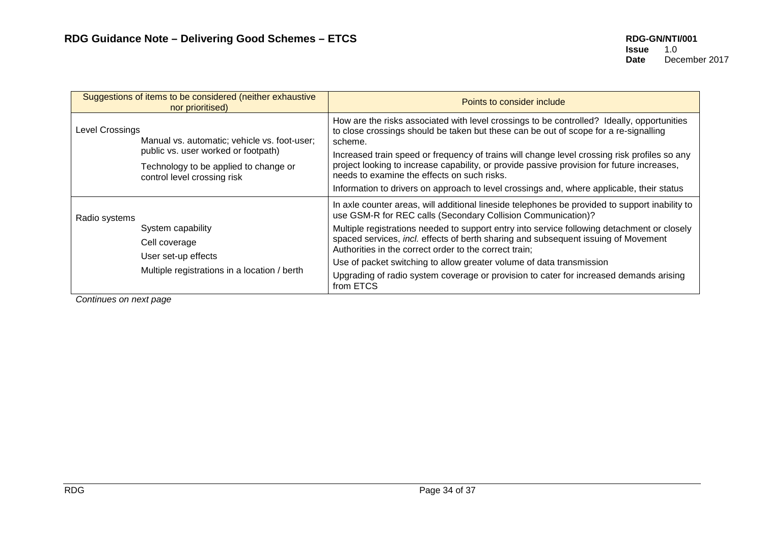| Suggestions of items to be considered (neither exhaustive<br>nor prioritised) |                                                                                                             | Points to consider include                                                                                                                                                                                                                |
|-------------------------------------------------------------------------------|-------------------------------------------------------------------------------------------------------------|-------------------------------------------------------------------------------------------------------------------------------------------------------------------------------------------------------------------------------------------|
| Level Crossings<br>Manual vs. automatic; vehicle vs. foot-user;               |                                                                                                             | How are the risks associated with level crossings to be controlled? Ideally, opportunities<br>to close crossings should be taken but these can be out of scope for a re-signalling<br>scheme.                                             |
|                                                                               | public vs. user worked or footpath)<br>Technology to be applied to change or<br>control level crossing risk | Increased train speed or frequency of trains will change level crossing risk profiles so any<br>project looking to increase capability, or provide passive provision for future increases,<br>needs to examine the effects on such risks. |
|                                                                               |                                                                                                             | Information to drivers on approach to level crossings and, where applicable, their status                                                                                                                                                 |
| Radio systems                                                                 |                                                                                                             | In axle counter areas, will additional lineside telephones be provided to support inability to<br>use GSM-R for REC calls (Secondary Collision Communication)?                                                                            |
|                                                                               | System capability                                                                                           | Multiple registrations needed to support entry into service following detachment or closely                                                                                                                                               |
|                                                                               | Cell coverage                                                                                               | spaced services, incl. effects of berth sharing and subsequent issuing of Movement<br>Authorities in the correct order to the correct train;                                                                                              |
| User set-up effects<br>Multiple registrations in a location / berth           | Use of packet switching to allow greater volume of data transmission                                        |                                                                                                                                                                                                                                           |
|                                                                               | Upgrading of radio system coverage or provision to cater for increased demands arising<br>from ETCS         |                                                                                                                                                                                                                                           |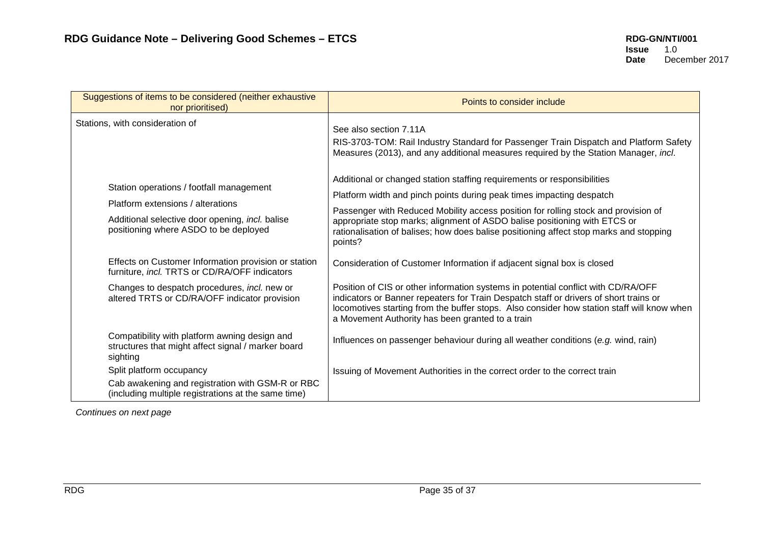| Suggestions of items to be considered (neither exhaustive<br>nor prioritised)                                   | Points to consider include                                                                                                                                                                                                                                                                                                   |
|-----------------------------------------------------------------------------------------------------------------|------------------------------------------------------------------------------------------------------------------------------------------------------------------------------------------------------------------------------------------------------------------------------------------------------------------------------|
| Stations, with consideration of                                                                                 | See also section 7.11A<br>RIS-3703-TOM: Rail Industry Standard for Passenger Train Dispatch and Platform Safety<br>Measures (2013), and any additional measures required by the Station Manager, incl.                                                                                                                       |
| Station operations / footfall management                                                                        | Additional or changed station staffing requirements or responsibilities                                                                                                                                                                                                                                                      |
| Platform extensions / alterations                                                                               | Platform width and pinch points during peak times impacting despatch                                                                                                                                                                                                                                                         |
| Additional selective door opening, incl. balise<br>positioning where ASDO to be deployed                        | Passenger with Reduced Mobility access position for rolling stock and provision of<br>appropriate stop marks; alignment of ASDO balise positioning with ETCS or<br>rationalisation of balises; how does balise positioning affect stop marks and stopping<br>points?                                                         |
| Effects on Customer Information provision or station<br>furniture, incl. TRTS or CD/RA/OFF indicators           | Consideration of Customer Information if adjacent signal box is closed                                                                                                                                                                                                                                                       |
| Changes to despatch procedures, incl. new or<br>altered TRTS or CD/RA/OFF indicator provision                   | Position of CIS or other information systems in potential conflict with CD/RA/OFF<br>indicators or Banner repeaters for Train Despatch staff or drivers of short trains or<br>locomotives starting from the buffer stops. Also consider how station staff will know when<br>a Movement Authority has been granted to a train |
| Compatibility with platform awning design and<br>structures that might affect signal / marker board<br>sighting | Influences on passenger behaviour during all weather conditions (e.g. wind, rain)                                                                                                                                                                                                                                            |
| Split platform occupancy                                                                                        | Issuing of Movement Authorities in the correct order to the correct train                                                                                                                                                                                                                                                    |
| Cab awakening and registration with GSM-R or RBC<br>(including multiple registrations at the same time)         |                                                                                                                                                                                                                                                                                                                              |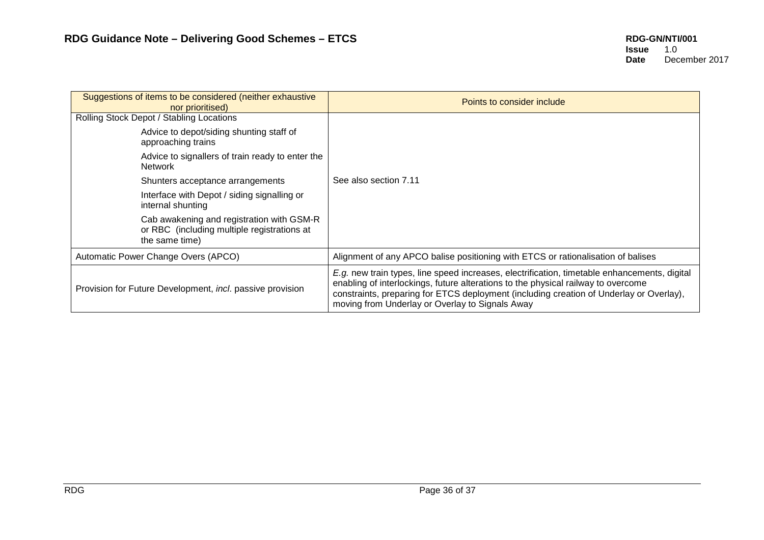| Suggestions of items to be considered (neither exhaustive<br>nor prioritised)                              | Points to consider include                                                                                                                                                                                                                                                                                                      |
|------------------------------------------------------------------------------------------------------------|---------------------------------------------------------------------------------------------------------------------------------------------------------------------------------------------------------------------------------------------------------------------------------------------------------------------------------|
| Rolling Stock Depot / Stabling Locations                                                                   |                                                                                                                                                                                                                                                                                                                                 |
| Advice to depot/siding shunting staff of<br>approaching trains                                             |                                                                                                                                                                                                                                                                                                                                 |
| Advice to signallers of train ready to enter the<br><b>Network</b>                                         |                                                                                                                                                                                                                                                                                                                                 |
| Shunters acceptance arrangements                                                                           | See also section 7.11                                                                                                                                                                                                                                                                                                           |
| Interface with Depot / siding signalling or<br>internal shunting                                           |                                                                                                                                                                                                                                                                                                                                 |
| Cab awakening and registration with GSM-R<br>or RBC (including multiple registrations at<br>the same time) |                                                                                                                                                                                                                                                                                                                                 |
| Automatic Power Change Overs (APCO)                                                                        | Alignment of any APCO balise positioning with ETCS or rationalisation of balises                                                                                                                                                                                                                                                |
| Provision for Future Development, incl. passive provision                                                  | E.g. new train types, line speed increases, electrification, timetable enhancements, digital<br>enabling of interlockings, future alterations to the physical railway to overcome<br>constraints, preparing for ETCS deployment (including creation of Underlay or Overlay),<br>moving from Underlay or Overlay to Signals Away |